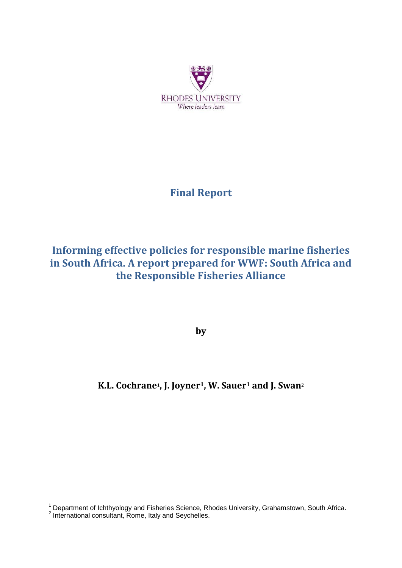

# **Final Report**

# **Informing effective policies for responsible marine fisheries in South Africa. A report prepared for WWF: South Africa and the Responsible Fisheries Alliance**

**by**

## **K.L. Cochrane1, J. Joyner1, W. Sauer<sup>1</sup> and J. Swan<sup>2</sup>**

1

<sup>&</sup>lt;sup>1</sup> Department of Ichthyology and Fisheries Science, Rhodes University, Grahamstown, South Africa.<br><sup>2</sup> International consultant, Rome, Italy and Seychelles.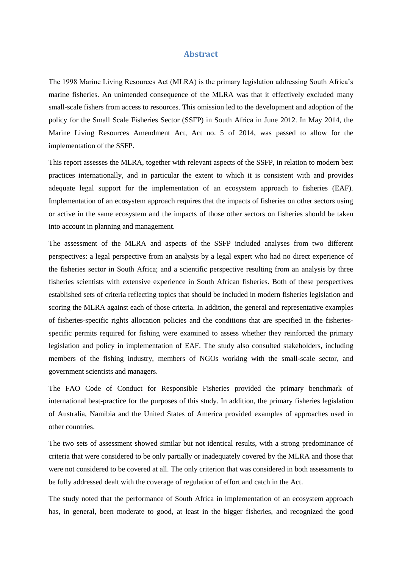#### **Abstract**

<span id="page-1-0"></span>The 1998 Marine Living Resources Act (MLRA) is the primary legislation addressing South Africa's marine fisheries. An unintended consequence of the MLRA was that it effectively excluded many small-scale fishers from access to resources. This omission led to the development and adoption of the policy for the Small Scale Fisheries Sector (SSFP) in South Africa in June 2012. In May 2014, the Marine Living Resources Amendment Act, Act no. 5 of 2014, was passed to allow for the implementation of the SSFP.

This report assesses the MLRA, together with relevant aspects of the SSFP, in relation to modern best practices internationally, and in particular the extent to which it is consistent with and provides adequate legal support for the implementation of an ecosystem approach to fisheries (EAF). Implementation of an ecosystem approach requires that the impacts of fisheries on other sectors using or active in the same ecosystem and the impacts of those other sectors on fisheries should be taken into account in planning and management.

The assessment of the MLRA and aspects of the SSFP included analyses from two different perspectives: a legal perspective from an analysis by a legal expert who had no direct experience of the fisheries sector in South Africa; and a scientific perspective resulting from an analysis by three fisheries scientists with extensive experience in South African fisheries. Both of these perspectives established sets of criteria reflecting topics that should be included in modern fisheries legislation and scoring the MLRA against each of those criteria. In addition, the general and representative examples of fisheries-specific rights allocation policies and the conditions that are specified in the fisheriesspecific permits required for fishing were examined to assess whether they reinforced the primary legislation and policy in implementation of EAF. The study also consulted stakeholders, including members of the fishing industry, members of NGOs working with the small-scale sector, and government scientists and managers.

The FAO Code of Conduct for Responsible Fisheries provided the primary benchmark of international best-practice for the purposes of this study. In addition, the primary fisheries legislation of Australia, Namibia and the United States of America provided examples of approaches used in other countries.

The two sets of assessment showed similar but not identical results, with a strong predominance of criteria that were considered to be only partially or inadequately covered by the MLRA and those that were not considered to be covered at all. The only criterion that was considered in both assessments to be fully addressed dealt with the coverage of regulation of effort and catch in the Act.

The study noted that the performance of South Africa in implementation of an ecosystem approach has, in general, been moderate to good, at least in the bigger fisheries, and recognized the good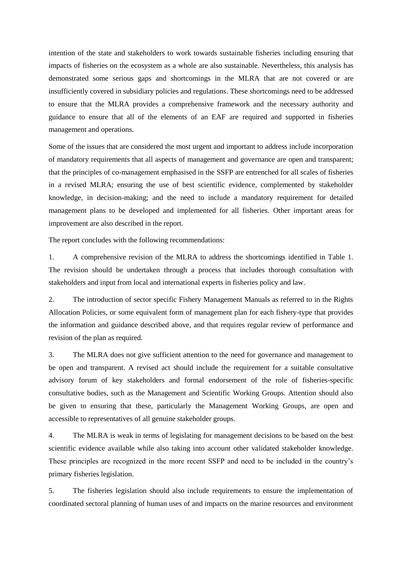intention of the state and stakeholders to work towards sustainable fisheries including ensuring that impacts of fisheries on the ecosystem as a whole are also sustainable. Nevertheless, this analysis has demonstrated some serious gaps and shortcomings in the MLRA that are not covered or are insufficiently covered in subsidiary policies and regulations. These shortcomings need to be addressed to ensure that the MLRA provides a comprehensive framework and the necessary authority and guidance to ensure that all of the elements of an EAF are required and supported in fisheries management and operations.

Some of the issues that are considered the most urgent and important to address include incorporation of mandatory requirements that all aspects of management and governance are open and transparent; that the principles of co-management emphasised in the SSFP are entrenched for all scales of fisheries in a revised MLRA; ensuring the use of best scientific evidence, complemented by stakeholder knowledge, in decision-making; and the need to include a mandatory requirement for detailed management plans to be developed and implemented for all fisheries. Other important areas for improvement are also described in the report.

The report concludes with the following recommendations:

1. A comprehensive revision of the MLRA to address the shortcomings identified in Table 1. The revision should be undertaken through a process that includes thorough consultation with stakeholders and input from local and international experts in fisheries policy and law.

2. The introduction of sector specific Fishery Management Manuals as referred to in the Rights Allocation Policies, or some equivalent form of management plan for each fishery-type that provides the information and guidance described above, and that requires regular review of performance and revision of the plan as required.

3. The MLRA does not give sufficient attention to the need for governance and management to be open and transparent. A revised act should include the requirement for a suitable consultative advisory forum of key stakeholders and formal endorsement of the role of fisheries-specific consultative bodies, such as the Management and Scientific Working Groups. Attention should also be given to ensuring that these, particularly the Management Working Groups, are open and accessible to representatives of all genuine stakeholder groups.

4. The MLRA is weak in terms of legislating for management decisions to be based on the best scientific evidence available while also taking into account other validated stakeholder knowledge. These principles are recognized in the more recent SSFP and need to be included in the country's primary fisheries legislation.

5. The fisheries legislation should also include requirements to ensure the implementation of coordinated sectoral planning of human uses of and impacts on the marine resources and environment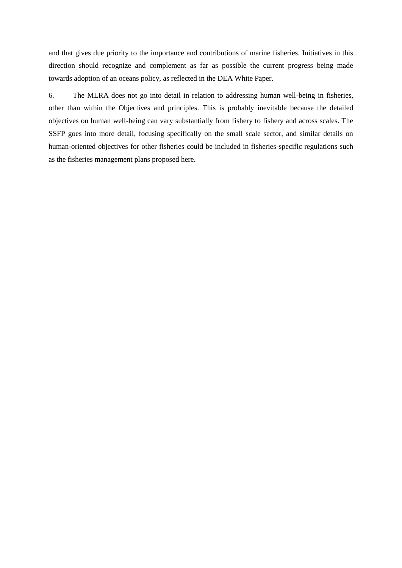and that gives due priority to the importance and contributions of marine fisheries. Initiatives in this direction should recognize and complement as far as possible the current progress being made towards adoption of an oceans policy, as reflected in the DEA White Paper.

6. The MLRA does not go into detail in relation to addressing human well-being in fisheries, other than within the Objectives and principles. This is probably inevitable because the detailed objectives on human well-being can vary substantially from fishery to fishery and across scales. The SSFP goes into more detail, focusing specifically on the small scale sector, and similar details on human-oriented objectives for other fisheries could be included in fisheries-specific regulations such as the fisheries management plans proposed here.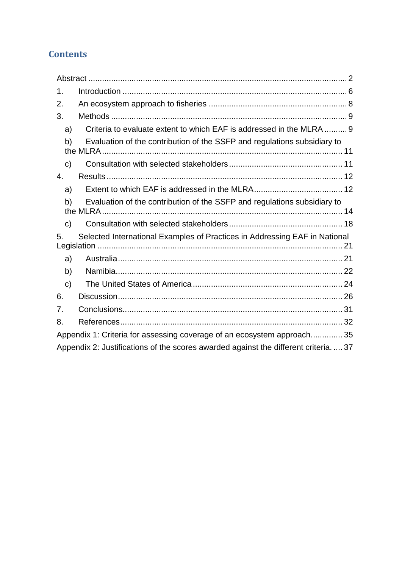## **Contents**

| 1.           |                                                                                    |  |
|--------------|------------------------------------------------------------------------------------|--|
| 2.           |                                                                                    |  |
| 3.           |                                                                                    |  |
| a)           | Criteria to evaluate extent to which EAF is addressed in the MLRA  9               |  |
| b)           | Evaluation of the contribution of the SSFP and regulations subsidiary to           |  |
| $\mathsf{C}$ |                                                                                    |  |
| 4.           |                                                                                    |  |
| a)           |                                                                                    |  |
| b)           | Evaluation of the contribution of the SSFP and regulations subsidiary to           |  |
| $\mathsf{C}$ |                                                                                    |  |
| 5.           | Selected International Examples of Practices in Addressing EAF in National         |  |
| a)           |                                                                                    |  |
| b)           |                                                                                    |  |
| $\mathbf{c}$ |                                                                                    |  |
| 6.           |                                                                                    |  |
| 7.           |                                                                                    |  |
| 8.           |                                                                                    |  |
|              | Appendix 1: Criteria for assessing coverage of an ecosystem approach 35            |  |
|              | Appendix 2: Justifications of the scores awarded against the different criteria 37 |  |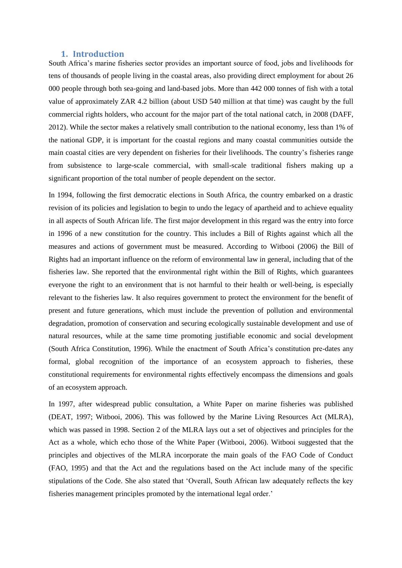#### **1. Introduction**

<span id="page-5-0"></span>South Africa's marine fisheries sector provides an important source of food, jobs and livelihoods for tens of thousands of people living in the coastal areas, also providing direct employment for about 26 000 people through both sea-going and land-based jobs. More than 442 000 tonnes of fish with a total value of approximately ZAR 4.2 billion (about USD 540 million at that time) was caught by the full commercial rights holders, who account for the major part of the total national catch, in 2008 (DAFF, 2012). While the sector makes a relatively small contribution to the national economy, less than 1% of the national GDP, it is important for the coastal regions and many coastal communities outside the main coastal cities are very dependent on fisheries for their livelihoods. The country's fisheries range from subsistence to large-scale commercial, with small-scale traditional fishers making up a significant proportion of the total number of people dependent on the sector.

In 1994, following the first democratic elections in South Africa, the country embarked on a drastic revision of its policies and legislation to begin to undo the legacy of apartheid and to achieve equality in all aspects of South African life. The first major development in this regard was the entry into force in 1996 of a new constitution for the country. This includes a Bill of Rights against which all the measures and actions of government must be measured. According to Witbooi (2006) the Bill of Rights had an important influence on the reform of environmental law in general, including that of the fisheries law. She reported that the environmental right within the Bill of Rights, which guarantees everyone the right to an environment that is not harmful to their health or well-being, is especially relevant to the fisheries law. It also requires government to protect the environment for the benefit of present and future generations, which must include the prevention of pollution and environmental degradation, promotion of conservation and securing ecologically sustainable development and use of natural resources, while at the same time promoting justifiable economic and social development (South Africa Constitution, 1996). While the enactment of South Africa's constitution pre-dates any formal, global recognition of the importance of an ecosystem approach to fisheries, these constitutional requirements for environmental rights effectively encompass the dimensions and goals of an ecosystem approach.

In 1997, after widespread public consultation, a White Paper on marine fisheries was published (DEAT, 1997; Witbooi, 2006). This was followed by the Marine Living Resources Act (MLRA), which was passed in 1998. Section 2 of the MLRA lays out a set of objectives and principles for the Act as a whole, which echo those of the White Paper (Witbooi, 2006). Witbooi suggested that the principles and objectives of the MLRA incorporate the main goals of the FAO Code of Conduct (FAO, 1995) and that the Act and the regulations based on the Act include many of the specific stipulations of the Code. She also stated that 'Overall, South African law adequately reflects the key fisheries management principles promoted by the international legal order.'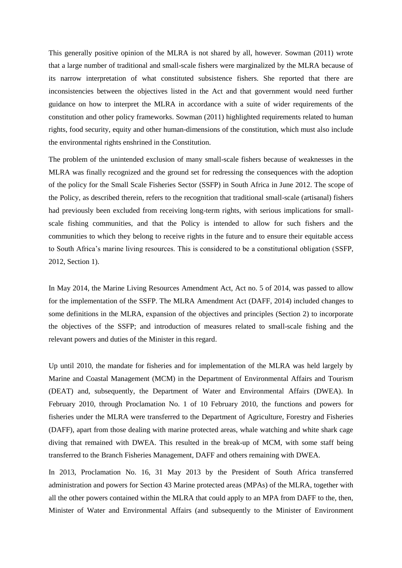This generally positive opinion of the MLRA is not shared by all, however. Sowman (2011) wrote that a large number of traditional and small-scale fishers were marginalized by the MLRA because of its narrow interpretation of what constituted subsistence fishers. She reported that there are inconsistencies between the objectives listed in the Act and that government would need further guidance on how to interpret the MLRA in accordance with a suite of wider requirements of the constitution and other policy frameworks. Sowman (2011) highlighted requirements related to human rights, food security, equity and other human-dimensions of the constitution, which must also include the environmental rights enshrined in the Constitution.

The problem of the unintended exclusion of many small-scale fishers because of weaknesses in the MLRA was finally recognized and the ground set for redressing the consequences with the adoption of the policy for the Small Scale Fisheries Sector (SSFP) in South Africa in June 2012. The scope of the Policy, as described therein, refers to the recognition that traditional small-scale (artisanal) fishers had previously been excluded from receiving long-term rights, with serious implications for smallscale fishing communities, and that the Policy is intended to allow for such fishers and the communities to which they belong to receive rights in the future and to ensure their equitable access to South Africa's marine living resources. This is considered to be a constitutional obligation (SSFP, 2012, Section 1).

In May 2014, the Marine Living Resources Amendment Act, Act no. 5 of 2014, was passed to allow for the implementation of the SSFP. The MLRA Amendment Act (DAFF, 2014) included changes to some definitions in the MLRA, expansion of the objectives and principles (Section 2) to incorporate the objectives of the SSFP; and introduction of measures related to small-scale fishing and the relevant powers and duties of the Minister in this regard.

Up until 2010, the mandate for fisheries and for implementation of the MLRA was held largely by Marine and Coastal Management (MCM) in the Department of Environmental Affairs and Tourism (DEAT) and, subsequently, the Department of Water and Environmental Affairs (DWEA). In February 2010, through Proclamation No. 1 of 10 February 2010, the functions and powers for fisheries under the MLRA were transferred to the Department of Agriculture, Forestry and Fisheries (DAFF), apart from those dealing with marine protected areas, whale watching and white shark cage diving that remained with DWEA. This resulted in the break-up of MCM, with some staff being transferred to the Branch Fisheries Management, DAFF and others remaining with DWEA.

In 2013, Proclamation No. 16, 31 May 2013 by the President of South Africa transferred administration and powers for Section 43 Marine protected areas (MPAs) of the MLRA, together with all the other powers contained within the MLRA that could apply to an MPA from DAFF to the, then, Minister of Water and Environmental Affairs (and subsequently to the Minister of Environment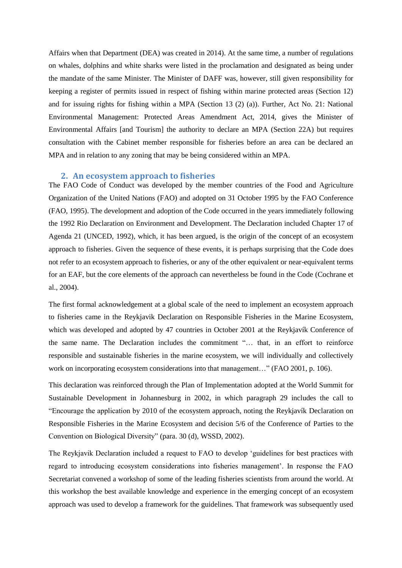Affairs when that Department (DEA) was created in 2014). At the same time, a number of regulations on whales, dolphins and white sharks were listed in the proclamation and designated as being under the mandate of the same Minister. The Minister of DAFF was, however, still given responsibility for keeping a register of permits issued in respect of fishing within marine protected areas (Section 12) and for issuing rights for fishing within a MPA (Section 13 (2) (a)). Further, Act No. 21: National Environmental Management: Protected Areas Amendment Act, 2014, gives the Minister of Environmental Affairs [and Tourism] the authority to declare an MPA (Section 22A) but requires consultation with the Cabinet member responsible for fisheries before an area can be declared an MPA and in relation to any zoning that may be being considered within an MPA.

#### <span id="page-7-0"></span>**2. An ecosystem approach to fisheries**

The FAO Code of Conduct was developed by the member countries of the Food and Agriculture Organization of the United Nations (FAO) and adopted on 31 October 1995 by the FAO Conference (FAO, 1995). The development and adoption of the Code occurred in the years immediately following the 1992 Rio Declaration on Environment and Development. The Declaration included Chapter 17 of Agenda 21 (UNCED, 1992), which, it has been argued, is the origin of the concept of an ecosystem approach to fisheries. Given the sequence of these events, it is perhaps surprising that the Code does not refer to an ecosystem approach to fisheries, or any of the other equivalent or near-equivalent terms for an EAF, but the core elements of the approach can nevertheless be found in the Code (Cochrane et al., 2004).

The first formal acknowledgement at a global scale of the need to implement an ecosystem approach to fisheries came in the Reykjavik Declaration on Responsible Fisheries in the Marine Ecosystem, which was developed and adopted by 47 countries in October 2001 at the Reykjavík Conference of the same name. The Declaration includes the commitment "… that, in an effort to reinforce responsible and sustainable fisheries in the marine ecosystem, we will individually and collectively work on incorporating ecosystem considerations into that management..." (FAO 2001, p. 106).

This declaration was reinforced through the Plan of Implementation adopted at the World Summit for Sustainable Development in Johannesburg in 2002, in which paragraph 29 includes the call to "Encourage the application by 2010 of the ecosystem approach, noting the Reykjavík Declaration on Responsible Fisheries in the Marine Ecosystem and decision 5/6 of the Conference of Parties to the Convention on Biological Diversity" (para. 30 (d), WSSD, 2002).

The Reykjavik Declaration included a request to FAO to develop 'guidelines for best practices with regard to introducing ecosystem considerations into fisheries management'. In response the FAO Secretariat convened a workshop of some of the leading fisheries scientists from around the world. At this workshop the best available knowledge and experience in the emerging concept of an ecosystem approach was used to develop a framework for the guidelines. That framework was subsequently used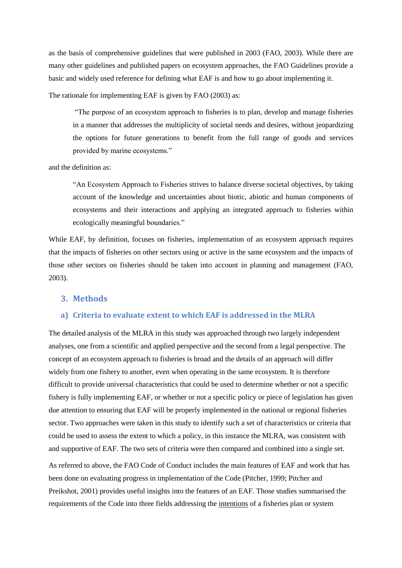as the basis of comprehensive guidelines that were published in 2003 (FAO, 2003). While there are many other guidelines and published papers on ecosystem approaches, the FAO Guidelines provide a basic and widely used reference for defining what EAF is and how to go about implementing it.

The rationale for implementing EAF is given by FAO (2003) as:

"The purpose of an ecosystem approach to fisheries is to plan, develop and manage fisheries in a manner that addresses the multiplicity of societal needs and desires, without jeopardizing the options for future generations to benefit from the full range of goods and services provided by marine ecosystems."

and the definition as:

"An Ecosystem Approach to Fisheries strives to balance diverse societal objectives, by taking account of the knowledge and uncertainties about biotic, abiotic and human components of ecosystems and their interactions and applying an integrated approach to fisheries within ecologically meaningful boundaries."

While EAF, by definition, focuses on fisheries, implementation of an ecosystem approach requires that the impacts of fisheries on other sectors using or active in the same ecosystem and the impacts of those other sectors on fisheries should be taken into account in planning and management (FAO, 2003).

#### <span id="page-8-0"></span>**3. Methods**

#### <span id="page-8-1"></span>**a) Criteria to evaluate extent to which EAF is addressed in the MLRA**

The detailed analysis of the MLRA in this study was approached through two largely independent analyses, one from a scientific and applied perspective and the second from a legal perspective. The concept of an ecosystem approach to fisheries is broad and the details of an approach will differ widely from one fishery to another, even when operating in the same ecosystem. It is therefore difficult to provide universal characteristics that could be used to determine whether or not a specific fishery is fully implementing EAF, or whether or not a specific policy or piece of legislation has given due attention to ensuring that EAF will be properly implemented in the national or regional fisheries sector. Two approaches were taken in this study to identify such a set of characteristics or criteria that could be used to assess the extent to which a policy, in this instance the MLRA, was consistent with and supportive of EAF. The two sets of criteria were then compared and combined into a single set.

As referred to above, the FAO Code of Conduct includes the main features of EAF and work that has been done on evaluating progress in implementation of the Code (Pitcher, 1999; Pitcher and Preikshot, 2001) provides useful insights into the features of an EAF. Those studies summarised the requirements of the Code into three fields addressing the intentions of a fisheries plan or system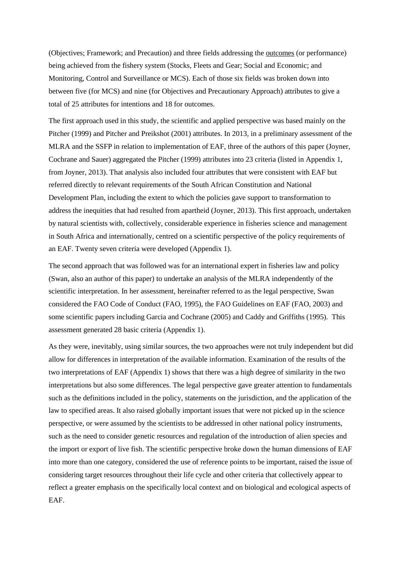(Objectives; Framework; and Precaution) and three fields addressing the outcomes (or performance) being achieved from the fishery system (Stocks, Fleets and Gear; Social and Economic; and Monitoring, Control and Surveillance or MCS). Each of those six fields was broken down into between five (for MCS) and nine (for Objectives and Precautionary Approach) attributes to give a total of 25 attributes for intentions and 18 for outcomes.

The first approach used in this study, the scientific and applied perspective was based mainly on the Pitcher (1999) and Pitcher and Preikshot (2001) attributes. In 2013, in a preliminary assessment of the MLRA and the SSFP in relation to implementation of EAF, three of the authors of this paper (Joyner, Cochrane and Sauer) aggregated the Pitcher (1999) attributes into 23 criteria (listed in Appendix 1, from Joyner, 2013). That analysis also included four attributes that were consistent with EAF but referred directly to relevant requirements of the South African Constitution and National Development Plan, including the extent to which the policies gave support to transformation to address the inequities that had resulted from apartheid (Joyner, 2013). This first approach, undertaken by natural scientists with, collectively, considerable experience in fisheries science and management in South Africa and internationally, centred on a scientific perspective of the policy requirements of an EAF. Twenty seven criteria were developed (Appendix 1).

The second approach that was followed was for an international expert in fisheries law and policy (Swan, also an author of this paper) to undertake an analysis of the MLRA independently of the scientific interpretation. In her assessment, hereinafter referred to as the legal perspective, Swan considered the FAO Code of Conduct (FAO, 1995), the FAO Guidelines on EAF (FAO, 2003) and some scientific papers including Garcia and Cochrane (2005) and Caddy and Griffiths (1995). This assessment generated 28 basic criteria (Appendix 1).

As they were, inevitably, using similar sources, the two approaches were not truly independent but did allow for differences in interpretation of the available information. Examination of the results of the two interpretations of EAF (Appendix 1) shows that there was a high degree of similarity in the two interpretations but also some differences. The legal perspective gave greater attention to fundamentals such as the definitions included in the policy, statements on the jurisdiction, and the application of the law to specified areas. It also raised globally important issues that were not picked up in the science perspective, or were assumed by the scientists to be addressed in other national policy instruments, such as the need to consider genetic resources and regulation of the introduction of alien species and the import or export of live fish. The scientific perspective broke down the human dimensions of EAF into more than one category, considered the use of reference points to be important, raised the issue of considering target resources throughout their life cycle and other criteria that collectively appear to reflect a greater emphasis on the specifically local context and on biological and ecological aspects of EAF.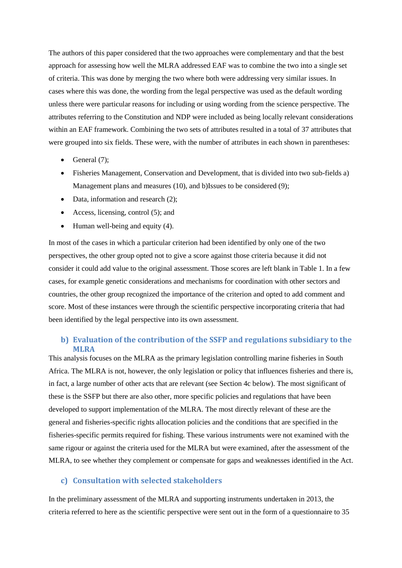The authors of this paper considered that the two approaches were complementary and that the best approach for assessing how well the MLRA addressed EAF was to combine the two into a single set of criteria. This was done by merging the two where both were addressing very similar issues. In cases where this was done, the wording from the legal perspective was used as the default wording unless there were particular reasons for including or using wording from the science perspective. The attributes referring to the Constitution and NDP were included as being locally relevant considerations within an EAF framework. Combining the two sets of attributes resulted in a total of 37 attributes that were grouped into six fields. These were, with the number of attributes in each shown in parentheses:

- General  $(7)$ ;
- Fisheries Management, Conservation and Development, that is divided into two sub-fields a) Management plans and measures (10), and b)Issues to be considered (9);
- Data, information and research (2);
- Access, licensing, control  $(5)$ ; and
- $\bullet$  Human well-being and equity (4).

In most of the cases in which a particular criterion had been identified by only one of the two perspectives, the other group opted not to give a score against those criteria because it did not consider it could add value to the original assessment. Those scores are left blank in Table 1. In a few cases, for example genetic considerations and mechanisms for coordination with other sectors and countries, the other group recognized the importance of the criterion and opted to add comment and score. Most of these instances were through the scientific perspective incorporating criteria that had been identified by the legal perspective into its own assessment.

## <span id="page-10-0"></span>**b) Evaluation of the contribution of the SSFP and regulations subsidiary to the MLRA**

This analysis focuses on the MLRA as the primary legislation controlling marine fisheries in South Africa. The MLRA is not, however, the only legislation or policy that influences fisheries and there is, in fact, a large number of other acts that are relevant (see Section 4c below). The most significant of these is the SSFP but there are also other, more specific policies and regulations that have been developed to support implementation of the MLRA. The most directly relevant of these are the general and fisheries-specific rights allocation policies and the conditions that are specified in the fisheries-specific permits required for fishing. These various instruments were not examined with the same rigour or against the criteria used for the MLRA but were examined, after the assessment of the MLRA, to see whether they complement or compensate for gaps and weaknesses identified in the Act.

#### <span id="page-10-1"></span>**c) Consultation with selected stakeholders**

In the preliminary assessment of the MLRA and supporting instruments undertaken in 2013, the criteria referred to here as the scientific perspective were sent out in the form of a questionnaire to 35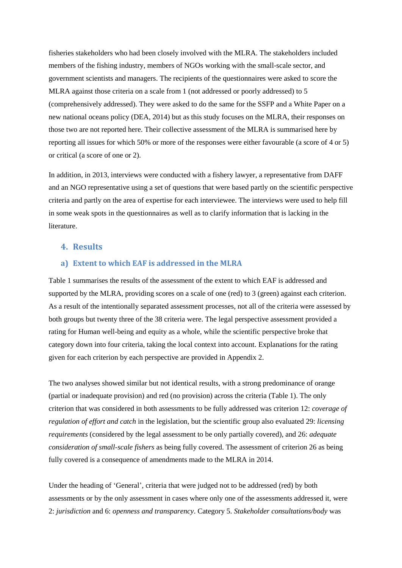fisheries stakeholders who had been closely involved with the MLRA. The stakeholders included members of the fishing industry, members of NGOs working with the small-scale sector, and government scientists and managers. The recipients of the questionnaires were asked to score the MLRA against those criteria on a scale from 1 (not addressed or poorly addressed) to 5 (comprehensively addressed). They were asked to do the same for the SSFP and a White Paper on a new national oceans policy (DEA, 2014) but as this study focuses on the MLRA, their responses on those two are not reported here. Their collective assessment of the MLRA is summarised here by reporting all issues for which 50% or more of the responses were either favourable (a score of 4 or 5) or critical (a score of one or 2).

In addition, in 2013, interviews were conducted with a fishery lawyer, a representative from DAFF and an NGO representative using a set of questions that were based partly on the scientific perspective criteria and partly on the area of expertise for each interviewee. The interviews were used to help fill in some weak spots in the questionnaires as well as to clarify information that is lacking in the literature.

#### <span id="page-11-1"></span><span id="page-11-0"></span>**4. Results**

#### **a) Extent to which EAF is addressed in the MLRA**

Table 1 summarises the results of the assessment of the extent to which EAF is addressed and supported by the MLRA, providing scores on a scale of one (red) to 3 (green) against each criterion. As a result of the intentionally separated assessment processes, not all of the criteria were assessed by both groups but twenty three of the 38 criteria were. The legal perspective assessment provided a rating for Human well-being and equity as a whole, while the scientific perspective broke that category down into four criteria, taking the local context into account. Explanations for the rating given for each criterion by each perspective are provided in Appendix 2.

The two analyses showed similar but not identical results, with a strong predominance of orange (partial or inadequate provision) and red (no provision) across the criteria (Table 1). The only criterion that was considered in both assessments to be fully addressed was criterion 12: *coverage of regulation of effort and catch* in the legislation, but the scientific group also evaluated 29: *licensing requirements* (considered by the legal assessment to be only partially covered), and 26: *adequate consideration of small-scale fishers* as being fully covered. The assessment of criterion 26 as being fully covered is a consequence of amendments made to the MLRA in 2014.

Under the heading of 'General', criteria that were judged not to be addressed (red) by both assessments or by the only assessment in cases where only one of the assessments addressed it, were 2: *jurisdiction* and 6: *openness and transparency*. Category 5. *Stakeholder consultations/body* was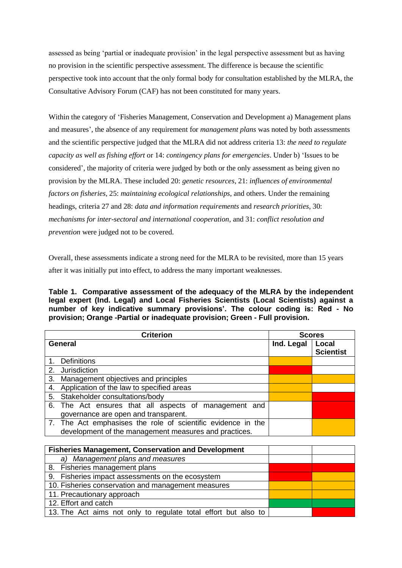assessed as being 'partial or inadequate provision' in the legal perspective assessment but as having no provision in the scientific perspective assessment. The difference is because the scientific perspective took into account that the only formal body for consultation established by the MLRA, the Consultative Advisory Forum (CAF) has not been constituted for many years.

Within the category of 'Fisheries Management, Conservation and Development a) Management plans and measures', the absence of any requirement for *management plans* was noted by both assessments and the scientific perspective judged that the MLRA did not address criteria 13: *the need to regulate capacity as well as fishing effort* or 14: *contingency plans for emergencies*. Under b) 'Issues to be considered', the majority of criteria were judged by both or the only assessment as being given no provision by the MLRA. These included 20: *genetic resources*, 21: *influences of environmental factors on fisheries*, 25: *maintaining ecological relationships*, and others. Under the remaining headings, criteria 27 and 28: *data and information requirements* and *research priorities*, 30: *mechanisms for inter-sectoral and international cooperation*, and 31: *conflict resolution and prevention* were judged not to be covered.

Overall, these assessments indicate a strong need for the MLRA to be revisited, more than 15 years after it was initially put into effect, to address the many important weaknesses.

**Table 1. Comparative assessment of the adequacy of the MLRA by the independent legal expert (Ind. Legal) and Local Fisheries Scientists (Local Scientists) against a number of key indicative summary provisions'. The colour coding is: Red - No provision; Orange -Partial or inadequate provision; Green - Full provision.**

| <b>Criterion</b>                                                                                                      | <b>Scores</b> |                           |
|-----------------------------------------------------------------------------------------------------------------------|---------------|---------------------------|
| <b>General</b>                                                                                                        | Ind. Legal    | Local<br><b>Scientist</b> |
| <b>Definitions</b>                                                                                                    |               |                           |
| Jurisdiction<br>2.                                                                                                    |               |                           |
| Management objectives and principles<br>3.                                                                            |               |                           |
| 4. Application of the law to specified areas                                                                          |               |                           |
| 5. Stakeholder consultations/body                                                                                     |               |                           |
| 6. The Act ensures that all aspects of management and<br>governance are open and transparent.                         |               |                           |
| 7. The Act emphasises the role of scientific evidence in the<br>development of the management measures and practices. |               |                           |

| <b>Fisheries Management, Conservation and Development</b>      |  |
|----------------------------------------------------------------|--|
| a) Management plans and measures                               |  |
| 8. Fisheries management plans                                  |  |
| 9. Fisheries impact assessments on the ecosystem               |  |
| 10. Fisheries conservation and management measures             |  |
| 11. Precautionary approach                                     |  |
| 12. Effort and catch                                           |  |
| 13. The Act aims not only to regulate total effort but also to |  |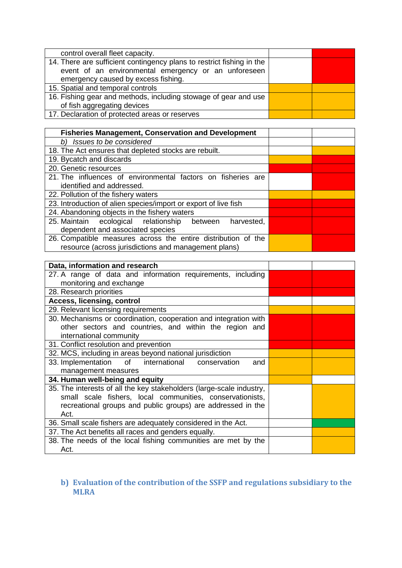| control overall fleet capacity.                                                                                                                                      |  |
|----------------------------------------------------------------------------------------------------------------------------------------------------------------------|--|
| 14. There are sufficient contingency plans to restrict fishing in the<br>event of an environmental emergency or an unforeseen<br>emergency caused by excess fishing. |  |
| 15. Spatial and temporal controls                                                                                                                                    |  |
| 16. Fishing gear and methods, including stowage of gear and use<br>of fish aggregating devices                                                                       |  |
| 17. Declaration of protected areas or reserves                                                                                                                       |  |

| <b>Fisheries Management, Conservation and Development</b>       |  |
|-----------------------------------------------------------------|--|
| Issues to be considered<br>b)                                   |  |
| 18. The Act ensures that depleted stocks are rebuilt.           |  |
| 19. Bycatch and discards                                        |  |
| 20. Genetic resources                                           |  |
| 21. The influences of environmental factors on fisheries are    |  |
| identified and addressed.                                       |  |
| 22. Pollution of the fishery waters                             |  |
| 23. Introduction of alien species/import or export of live fish |  |
| 24. Abandoning objects in the fishery waters                    |  |
| 25. Maintain ecological relationship between<br>harvested,      |  |
| dependent and associated species                                |  |
| 26. Compatible measures across the entire distribution of the   |  |
| resource (across jurisdictions and management plans)            |  |

| Data, information and research                                       |  |
|----------------------------------------------------------------------|--|
| 27. A range of data and information requirements, including          |  |
| monitoring and exchange                                              |  |
| 28. Research priorities                                              |  |
| <b>Access, licensing, control</b>                                    |  |
| 29. Relevant licensing requirements                                  |  |
| 30. Mechanisms or coordination, cooperation and integration with     |  |
| other sectors and countries, and within the region and               |  |
| international community                                              |  |
| 31. Conflict resolution and prevention                               |  |
| 32. MCS, including in areas beyond national jurisdiction             |  |
| 33. Implementation of international conservation<br>and              |  |
| management measures                                                  |  |
| 34. Human well-being and equity                                      |  |
| 35. The interests of all the key stakeholders (large-scale industry, |  |
| small scale fishers, local communities, conservationists,            |  |
| recreational groups and public groups) are addressed in the          |  |
| Act.                                                                 |  |
| 36. Small scale fishers are adequately considered in the Act.        |  |
| 37. The Act benefits all races and genders equally.                  |  |
| 38. The needs of the local fishing communities are met by the        |  |
| Act.                                                                 |  |

## <span id="page-13-0"></span>**b) Evaluation of the contribution of the SSFP and regulations subsidiary to the MLRA**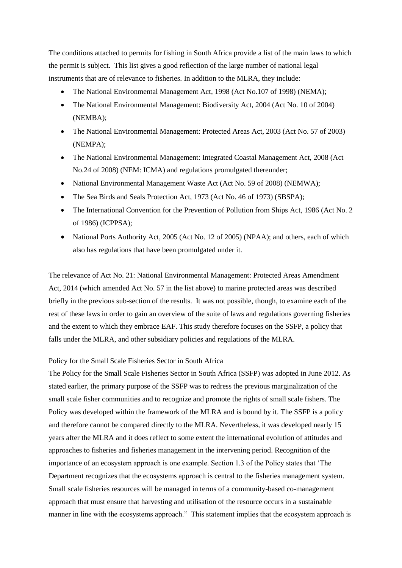The conditions attached to permits for fishing in South Africa provide a list of the main laws to which the permit is subject. This list gives a good reflection of the large number of national legal instruments that are of relevance to fisheries. In addition to the MLRA, they include:

- The National Environmental Management Act, 1998 (Act No.107 of 1998) (NEMA);
- The National Environmental Management: Biodiversity Act, 2004 (Act No. 10 of 2004) (NEMBA);
- The National Environmental Management: Protected Areas Act, 2003 (Act No. 57 of 2003) (NEMPA);
- The National Environmental Management: Integrated Coastal Management Act, 2008 (Act No.24 of 2008) (NEM: ICMA) and regulations promulgated thereunder;
- National Environmental Management Waste Act (Act No. 59 of 2008) (NEMWA);
- The Sea Birds and Seals Protection Act, 1973 (Act No. 46 of 1973) (SBSPA);
- The International Convention for the Prevention of Pollution from Ships Act, 1986 (Act No. 2) of 1986) (ICPPSA);
- National Ports Authority Act, 2005 (Act No. 12 of 2005) (NPAA); and others, each of which also has regulations that have been promulgated under it.

The relevance of Act No. 21: National Environmental Management: Protected Areas Amendment Act, 2014 (which amended Act No. 57 in the list above) to marine protected areas was described briefly in the previous sub-section of the results. It was not possible, though, to examine each of the rest of these laws in order to gain an overview of the suite of laws and regulations governing fisheries and the extent to which they embrace EAF. This study therefore focuses on the SSFP, a policy that falls under the MLRA, and other subsidiary policies and regulations of the MLRA.

#### Policy for the Small Scale Fisheries Sector in South Africa

The Policy for the Small Scale Fisheries Sector in South Africa (SSFP) was adopted in June 2012. As stated earlier, the primary purpose of the SSFP was to redress the previous marginalization of the small scale fisher communities and to recognize and promote the rights of small scale fishers. The Policy was developed within the framework of the MLRA and is bound by it. The SSFP is a policy and therefore cannot be compared directly to the MLRA. Nevertheless, it was developed nearly 15 years after the MLRA and it does reflect to some extent the international evolution of attitudes and approaches to fisheries and fisheries management in the intervening period. Recognition of the importance of an ecosystem approach is one example. Section 1.3 of the Policy states that 'The Department recognizes that the ecosystems approach is central to the fisheries management system. Small scale fisheries resources will be managed in terms of a community-based co-management approach that must ensure that harvesting and utilisation of the resource occurs in a sustainable manner in line with the ecosystems approach." This statement implies that the ecosystem approach is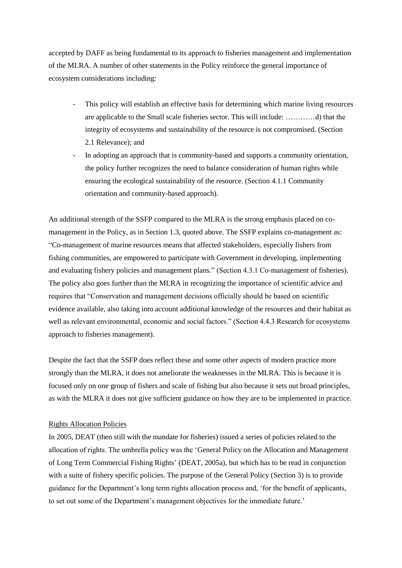accepted by DAFF as being fundamental to its approach to fisheries management and implementation of the MLRA. A number of other statements in the Policy reinforce the general importance of ecosystem considerations including:

- This policy will establish an effective basis for determining which marine living resources are applicable to the Small scale fisheries sector. This will include: …………d) that the integrity of ecosystems and sustainability of the resource is not compromised. (Section 2.1 Relevance); and
- In adopting an approach that is community-based and supports a community orientation, the policy further recognizes the need to balance consideration of human rights while ensuring the ecological sustainability of the resource. (Section 4.1.1 Community orientation and community-based approach).

An additional strength of the SSFP compared to the MLRA is the strong emphasis placed on comanagement in the Policy, as in Section 1.3, quoted above. The SSFP explains co-management as: "Co-management of marine resources means that affected stakeholders, especially fishers from fishing communities, are empowered to participate with Government in developing, implementing and evaluating fishery policies and management plans." (Section 4.3.1 Co-management of fisheries). The policy also goes further than the MLRA in recognizing the importance of scientific advice and requires that "Conservation and management decisions officially should be based on scientific evidence available, also taking into account additional knowledge of the resources and their habitat as well as relevant environmental, economic and social factors." (Section 4.4.3 Research for ecosystems approach to fisheries management).

Despite the fact that the SSFP does reflect these and some other aspects of modern practice more strongly than the MLRA, it does not ameliorate the weaknesses in the MLRA. This is because it is focused only on one group of fishers and scale of fishing but also because it sets out broad principles, as with the MLRA it does not give sufficient guidance on how they are to be implemented in practice.

#### Rights Allocation Policies

In 2005, DEAT (then still with the mandate for fisheries) issued a series of policies related to the allocation of rights. The umbrella policy was the 'General Policy on the Allocation and Management of Long Term Commercial Fishing Rights' (DEAT, 2005a), but which has to be read in conjunction with a suite of fishery specific policies. The purpose of the General Policy (Section 3) is to provide guidance for the Department's long term rights allocation process and, 'for the benefit of applicants, to set out some of the Department's management objectives for the immediate future.'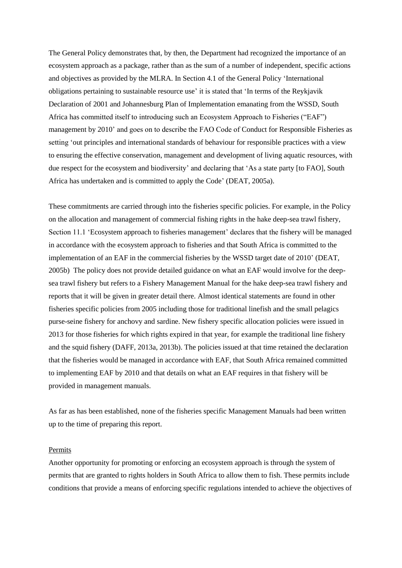The General Policy demonstrates that, by then, the Department had recognized the importance of an ecosystem approach as a package, rather than as the sum of a number of independent, specific actions and objectives as provided by the MLRA. In Section 4.1 of the General Policy 'International obligations pertaining to sustainable resource use' it is stated that 'In terms of the Reykjavik Declaration of 2001 and Johannesburg Plan of Implementation emanating from the WSSD, South Africa has committed itself to introducing such an Ecosystem Approach to Fisheries ("EAF") management by 2010' and goes on to describe the FAO Code of Conduct for Responsible Fisheries as setting 'out principles and international standards of behaviour for responsible practices with a view to ensuring the effective conservation, management and development of living aquatic resources, with due respect for the ecosystem and biodiversity' and declaring that 'As a state party [to FAO], South Africa has undertaken and is committed to apply the Code' (DEAT, 2005a).

These commitments are carried through into the fisheries specific policies. For example, in the Policy on the allocation and management of commercial fishing rights in the hake deep-sea trawl fishery, Section 11.1 'Ecosystem approach to fisheries management' declares that the fishery will be managed in accordance with the ecosystem approach to fisheries and that South Africa is committed to the implementation of an EAF in the commercial fisheries by the WSSD target date of 2010' (DEAT, 2005b) The policy does not provide detailed guidance on what an EAF would involve for the deepsea trawl fishery but refers to a Fishery Management Manual for the hake deep-sea trawl fishery and reports that it will be given in greater detail there. Almost identical statements are found in other fisheries specific policies from 2005 including those for traditional linefish and the small pelagics purse-seine fishery for anchovy and sardine. New fishery specific allocation policies were issued in 2013 for those fisheries for which rights expired in that year, for example the traditional line fishery and the squid fishery (DAFF, 2013a, 2013b). The policies issued at that time retained the declaration that the fisheries would be managed in accordance with EAF, that South Africa remained committed to implementing EAF by 2010 and that details on what an EAF requires in that fishery will be provided in management manuals.

As far as has been established, none of the fisheries specific Management Manuals had been written up to the time of preparing this report.

#### Permits

Another opportunity for promoting or enforcing an ecosystem approach is through the system of permits that are granted to rights holders in South Africa to allow them to fish. These permits include conditions that provide a means of enforcing specific regulations intended to achieve the objectives of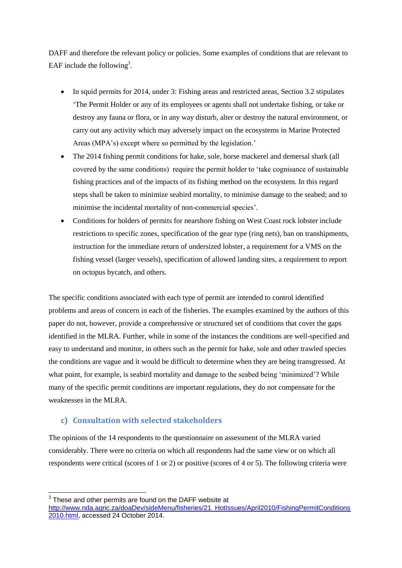DAFF and therefore the relevant policy or policies. Some examples of conditions that are relevant to EAF include the following<sup>3</sup>.

- In squid permits for 2014, under 3: Fishing areas and restricted areas, Section 3.2 stipulates 'The Permit Holder or any of its employees or agents shall not undertake fishing, or take or destroy any fauna or flora, or in any way disturb, alter or destroy the natural environment, or carry out any activity which may adversely impact on the ecosystems in Marine Protected Areas (MPA's) except where so permitted by the legislation.'
- The 2014 fishing permit conditions for hake, sole, horse mackerel and demersal shark (all covered by the same conditions) require the permit holder to 'take cognisance of sustainable fishing practices and of the impacts of its fishing method on the ecosystem. In this regard steps shall be taken to minimize seabird mortality, to minimise damage to the seabed; and to minimise the incidental mortality of non-commercial species'.
- Conditions for holders of permits for nearshore fishing on West Coast rock lobster include restrictions to specific zones, specification of the gear type (ring nets), ban on transhipments, instruction for the immediate return of undersized lobster, a requirement for a VMS on the fishing vessel (larger vessels), specification of allowed landing sites, a requirement to report on octopus bycatch, and others.

The specific conditions associated with each type of permit are intended to control identified problems and areas of concern in each of the fisheries. The examples examined by the authors of this paper do not, however, provide a comprehensive or structured set of conditions that cover the gaps identified in the MLRA. Further, while in some of the instances the conditions are well-specified and easy to understand and monitor, in others such as the permit for hake, sole and other trawled species the conditions are vague and it would be difficult to determine when they are being transgressed. At what point, for example, is seabird mortality and damage to the seabed being 'minimized'? While many of the specific permit conditions are important regulations, they do not compensate for the weaknesses in the MLRA.

## <span id="page-17-0"></span>**c) Consultation with selected stakeholders**

The opinions of the 14 respondents to the questionnaire on assessment of the MLRA varied considerably. There were no criteria on which all respondents had the same view or on which all respondents were critical (scores of 1 or 2) or positive (scores of 4 or 5). The following criteria were

1

 $3$  These and other permits are found on the DAFF website at

[http://www.nda.agric.za/doaDev/sideMenu/fisheries/21\\_HotIssues/April2010/FishingPermitConditions](http://www.nda.agric.za/doaDev/sideMenu/fisheries/21_HotIssues/April2010/FishingPermitConditions2010.html) [2010.html,](http://www.nda.agric.za/doaDev/sideMenu/fisheries/21_HotIssues/April2010/FishingPermitConditions2010.html) accessed 24 October 2014.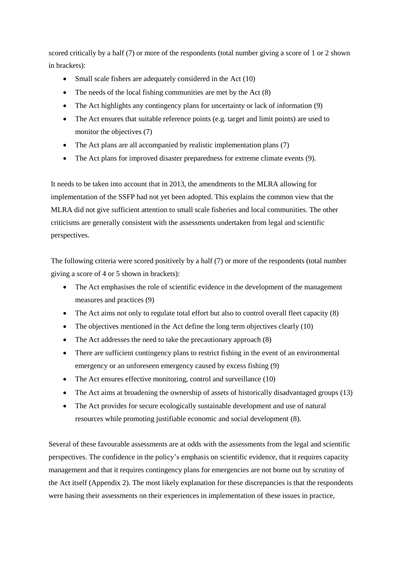scored critically by a half (7) or more of the respondents (total number giving a score of 1 or 2 shown in brackets):

- Small scale fishers are adequately considered in the Act (10)
- $\bullet$  The needs of the local fishing communities are met by the Act  $(8)$
- The Act highlights any contingency plans for uncertainty or lack of information (9)
- The Act ensures that suitable reference points (e.g. target and limit points) are used to monitor the objectives (7)
- The Act plans are all accompanied by realistic implementation plans (7)
- The Act plans for improved disaster preparedness for extreme climate events (9).

It needs to be taken into account that in 2013, the amendments to the MLRA allowing for implementation of the SSFP had not yet been adopted. This explains the common view that the MLRA did not give sufficient attention to small scale fisheries and local communities. The other criticisms are generally consistent with the assessments undertaken from legal and scientific perspectives.

The following criteria were scored positively by a half (7) or more of the respondents (total number giving a score of 4 or 5 shown in brackets):

- The Act emphasises the role of scientific evidence in the development of the management measures and practices (9)
- The Act aims not only to regulate total effort but also to control overall fleet capacity (8)
- The objectives mentioned in the Act define the long term objectives clearly (10)
- The Act addresses the need to take the precautionary approach (8)
- There are sufficient contingency plans to restrict fishing in the event of an environmental emergency or an unforeseen emergency caused by excess fishing (9)
- The Act ensures effective monitoring, control and surveillance (10)
- The Act aims at broadening the ownership of assets of historically disadvantaged groups (13)
- The Act provides for secure ecologically sustainable development and use of natural resources while promoting justifiable economic and social development (8).

Several of these favourable assessments are at odds with the assessments from the legal and scientific perspectives. The confidence in the policy's emphasis on scientific evidence, that it requires capacity management and that it requires contingency plans for emergencies are not borne out by scrutiny of the Act itself (Appendix 2). The most likely explanation for these discrepancies is that the respondents were basing their assessments on their experiences in implementation of these issues in practice,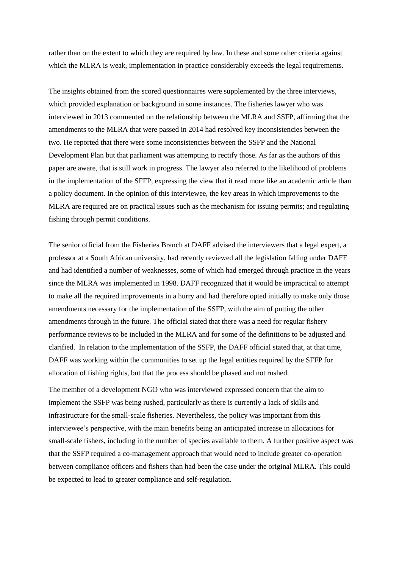rather than on the extent to which they are required by law. In these and some other criteria against which the MLRA is weak, implementation in practice considerably exceeds the legal requirements.

The insights obtained from the scored questionnaires were supplemented by the three interviews, which provided explanation or background in some instances. The fisheries lawyer who was interviewed in 2013 commented on the relationship between the MLRA and SSFP, affirming that the amendments to the MLRA that were passed in 2014 had resolved key inconsistencies between the two. He reported that there were some inconsistencies between the SSFP and the National Development Plan but that parliament was attempting to rectify those. As far as the authors of this paper are aware, that is still work in progress. The lawyer also referred to the likelihood of problems in the implementation of the SFFP, expressing the view that it read more like an academic article than a policy document. In the opinion of this interviewee, the key areas in which improvements to the MLRA are required are on practical issues such as the mechanism for issuing permits; and regulating fishing through permit conditions.

The senior official from the Fisheries Branch at DAFF advised the interviewers that a legal expert, a professor at a South African university, had recently reviewed all the legislation falling under DAFF and had identified a number of weaknesses, some of which had emerged through practice in the years since the MLRA was implemented in 1998. DAFF recognized that it would be impractical to attempt to make all the required improvements in a hurry and had therefore opted initially to make only those amendments necessary for the implementation of the SSFP, with the aim of putting the other amendments through in the future. The official stated that there was a need for regular fishery performance reviews to be included in the MLRA and for some of the definitions to be adjusted and clarified. In relation to the implementation of the SSFP, the DAFF official stated that, at that time, DAFF was working within the communities to set up the legal entities required by the SFFP for allocation of fishing rights, but that the process should be phased and not rushed.

The member of a development NGO who was interviewed expressed concern that the aim to implement the SSFP was being rushed, particularly as there is currently a lack of skills and infrastructure for the small-scale fisheries. Nevertheless, the policy was important from this interviewee's perspective, with the main benefits being an anticipated increase in allocations for small-scale fishers, including in the number of species available to them. A further positive aspect was that the SSFP required a co-management approach that would need to include greater co-operation between compliance officers and fishers than had been the case under the original MLRA. This could be expected to lead to greater compliance and self-regulation.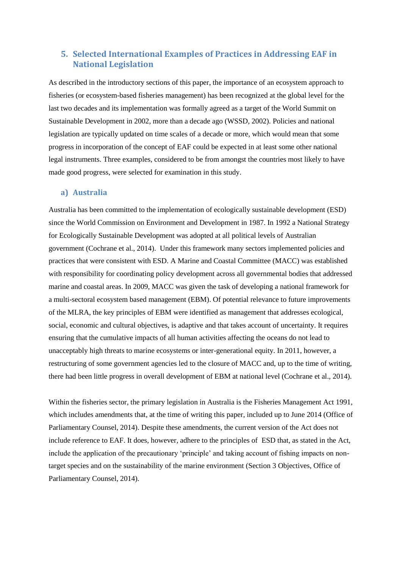## <span id="page-20-0"></span>**5. Selected International Examples of Practices in Addressing EAF in National Legislation**

As described in the introductory sections of this paper, the importance of an ecosystem approach to fisheries (or ecosystem-based fisheries management) has been recognized at the global level for the last two decades and its implementation was formally agreed as a target of the World Summit on Sustainable Development in 2002, more than a decade ago (WSSD, 2002). Policies and national legislation are typically updated on time scales of a decade or more, which would mean that some progress in incorporation of the concept of EAF could be expected in at least some other national legal instruments. Three examples, considered to be from amongst the countries most likely to have made good progress, were selected for examination in this study.

#### <span id="page-20-1"></span>**a) Australia**

Australia has been committed to the implementation of ecologically sustainable development (ESD) since the World Commission on Environment and Development in 1987. In 1992 a National Strategy for Ecologically Sustainable Development was adopted at all political levels of Australian government (Cochrane et al., 2014). Under this framework many sectors implemented policies and practices that were consistent with ESD. A Marine and Coastal Committee (MACC) was established with responsibility for coordinating policy development across all governmental bodies that addressed marine and coastal areas. In 2009, MACC was given the task of developing a national framework for a multi-sectoral ecosystem based management (EBM). Of potential relevance to future improvements of the MLRA, the key principles of EBM were identified as management that addresses ecological, social, economic and cultural objectives, is adaptive and that takes account of uncertainty. It requires ensuring that the cumulative impacts of all human activities affecting the oceans do not lead to unacceptably high threats to marine ecosystems or inter-generational equity. In 2011, however, a restructuring of some government agencies led to the closure of MACC and, up to the time of writing, there had been little progress in overall development of EBM at national level (Cochrane et al., 2014).

Within the fisheries sector, the primary legislation in Australia is the Fisheries Management Act 1991, which includes amendments that, at the time of writing this paper, included up to June 2014 (Office of Parliamentary Counsel, 2014). Despite these amendments, the current version of the Act does not include reference to EAF. It does, however, adhere to the principles of ESD that, as stated in the Act, include the application of the precautionary 'principle' and taking account of fishing impacts on nontarget species and on the sustainability of the marine environment (Section 3 Objectives, Office of Parliamentary Counsel, 2014).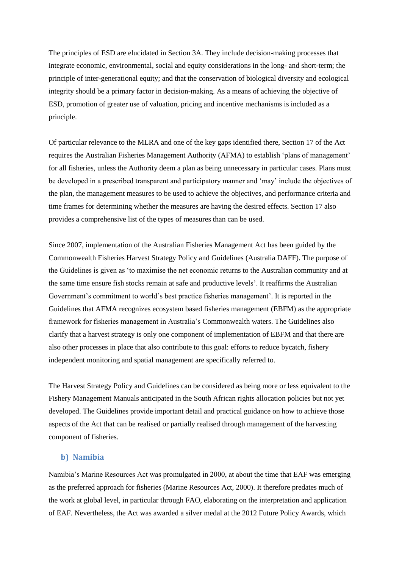The principles of ESD are elucidated in Section 3A. They include decision-making processes that integrate economic, environmental, social and equity considerations in the long- and short-term; the principle of inter-generational equity; and that the conservation of biological diversity and ecological integrity should be a primary factor in decision-making. As a means of achieving the objective of ESD, promotion of greater use of valuation, pricing and incentive mechanisms is included as a principle.

Of particular relevance to the MLRA and one of the key gaps identified there, Section 17 of the Act requires the Australian Fisheries Management Authority (AFMA) to establish 'plans of management' for all fisheries, unless the Authority deem a plan as being unnecessary in particular cases. Plans must be developed in a prescribed transparent and participatory manner and 'may' include the objectives of the plan, the management measures to be used to achieve the objectives, and performance criteria and time frames for determining whether the measures are having the desired effects. Section 17 also provides a comprehensive list of the types of measures than can be used.

Since 2007, implementation of the Australian Fisheries Management Act has been guided by the Commonwealth Fisheries Harvest Strategy Policy and Guidelines (Australia DAFF). The purpose of the Guidelines is given as 'to maximise the net economic returns to the Australian community and at the same time ensure fish stocks remain at safe and productive levels'. It reaffirms the Australian Government's commitment to world's best practice fisheries management'. It is reported in the Guidelines that AFMA recognizes ecosystem based fisheries management (EBFM) as the appropriate framework for fisheries management in Australia's Commonwealth waters. The Guidelines also clarify that a harvest strategy is only one component of implementation of EBFM and that there are also other processes in place that also contribute to this goal: efforts to reduce bycatch, fishery independent monitoring and spatial management are specifically referred to.

The Harvest Strategy Policy and Guidelines can be considered as being more or less equivalent to the Fishery Management Manuals anticipated in the South African rights allocation policies but not yet developed. The Guidelines provide important detail and practical guidance on how to achieve those aspects of the Act that can be realised or partially realised through management of the harvesting component of fisheries.

## <span id="page-21-0"></span>**b) Namibia**

Namibia's Marine Resources Act was promulgated in 2000, at about the time that EAF was emerging as the preferred approach for fisheries (Marine Resources Act, 2000). It therefore predates much of the work at global level, in particular through FAO, elaborating on the interpretation and application of EAF. Nevertheless, the Act was awarded a silver medal at the 2012 Future Policy Awards, which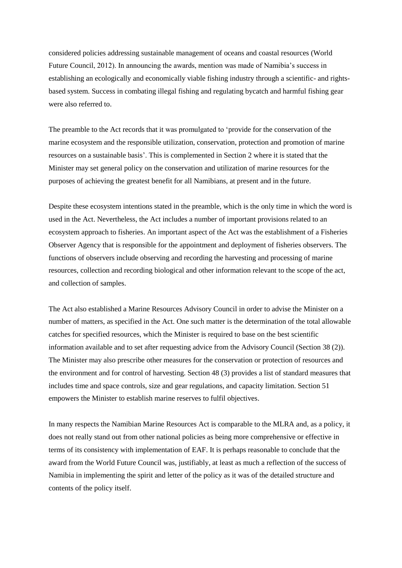considered policies addressing sustainable management of oceans and coastal resources (World Future Council, 2012). In announcing the awards, mention was made of Namibia's success in establishing an ecologically and economically viable fishing industry through a scientific- and rightsbased system. Success in combating illegal fishing and regulating bycatch and harmful fishing gear were also referred to.

The preamble to the Act records that it was promulgated to 'provide for the conservation of the marine ecosystem and the responsible utilization, conservation, protection and promotion of marine resources on a sustainable basis'. This is complemented in Section 2 where it is stated that the Minister may set general policy on the conservation and utilization of marine resources for the purposes of achieving the greatest benefit for all Namibians, at present and in the future.

Despite these ecosystem intentions stated in the preamble, which is the only time in which the word is used in the Act. Nevertheless, the Act includes a number of important provisions related to an ecosystem approach to fisheries. An important aspect of the Act was the establishment of a Fisheries Observer Agency that is responsible for the appointment and deployment of fisheries observers. The functions of observers include observing and recording the harvesting and processing of marine resources, collection and recording biological and other information relevant to the scope of the act, and collection of samples.

The Act also established a Marine Resources Advisory Council in order to advise the Minister on a number of matters, as specified in the Act. One such matter is the determination of the total allowable catches for specified resources, which the Minister is required to base on the best scientific information available and to set after requesting advice from the Advisory Council (Section 38 (2)). The Minister may also prescribe other measures for the conservation or protection of resources and the environment and for control of harvesting. Section 48 (3) provides a list of standard measures that includes time and space controls, size and gear regulations, and capacity limitation. Section 51 empowers the Minister to establish marine reserves to fulfil objectives.

In many respects the Namibian Marine Resources Act is comparable to the MLRA and, as a policy, it does not really stand out from other national policies as being more comprehensive or effective in terms of its consistency with implementation of EAF. It is perhaps reasonable to conclude that the award from the World Future Council was, justifiably, at least as much a reflection of the success of Namibia in implementing the spirit and letter of the policy as it was of the detailed structure and contents of the policy itself.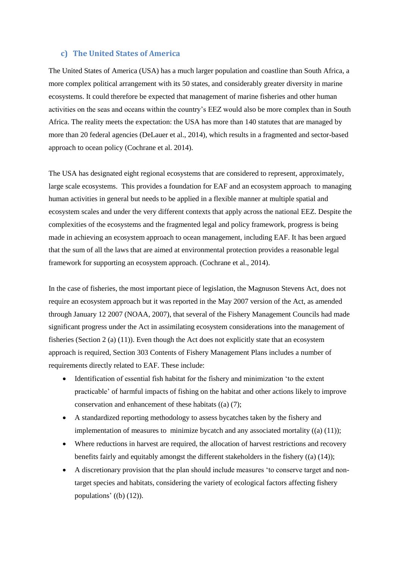#### <span id="page-23-0"></span>**c) The United States of America**

The United States of America (USA) has a much larger population and coastline than South Africa, a more complex political arrangement with its 50 states, and considerably greater diversity in marine ecosystems. It could therefore be expected that management of marine fisheries and other human activities on the seas and oceans within the country's EEZ would also be more complex than in South Africa. The reality meets the expectation: the USA has more than 140 statutes that are managed by more than 20 federal agencies (DeLauer et al., 2014), which results in a fragmented and sector-based approach to ocean policy (Cochrane et al. 2014).

The USA has designated eight regional ecosystems that are considered to represent, approximately, large scale ecosystems. This provides a foundation for EAF and an ecosystem approach to managing human activities in general but needs to be applied in a flexible manner at multiple spatial and ecosystem scales and under the very different contexts that apply across the national EEZ. Despite the complexities of the ecosystems and the fragmented legal and policy framework, progress is being made in achieving an ecosystem approach to ocean management, including EAF. It has been argued that the sum of all the laws that are aimed at environmental protection provides a reasonable legal framework for supporting an ecosystem approach. (Cochrane et al., 2014).

In the case of fisheries, the most important piece of legislation, the Magnuson Stevens Act, does not require an ecosystem approach but it was reported in the May 2007 version of the Act, as amended through January 12 2007 (NOAA, 2007), that several of the Fishery Management Councils had made significant progress under the Act in assimilating ecosystem considerations into the management of fisheries (Section 2 (a) (11)). Even though the Act does not explicitly state that an ecosystem approach is required, Section 303 Contents of Fishery Management Plans includes a number of requirements directly related to EAF. These include:

- Identification of essential fish habitat for the fishery and minimization 'to the extent practicable' of harmful impacts of fishing on the habitat and other actions likely to improve conservation and enhancement of these habitats ((a) (7);
- A standardized reporting methodology to assess bycatches taken by the fishery and implementation of measures to minimize bycatch and any associated mortality  $((a) (11))$ ;
- Where reductions in harvest are required, the allocation of harvest restrictions and recovery benefits fairly and equitably amongst the different stakeholders in the fishery ((a) (14));
- A discretionary provision that the plan should include measures 'to conserve target and nontarget species and habitats, considering the variety of ecological factors affecting fishery populations' ((b) (12)).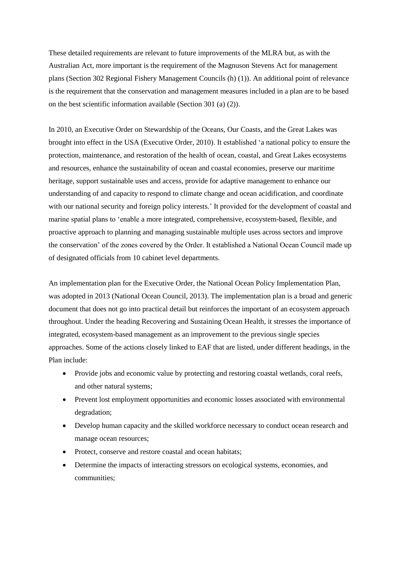These detailed requirements are relevant to future improvements of the MLRA but, as with the Australian Act, more important is the requirement of the Magnuson Stevens Act for management plans (Section 302 Regional Fishery Management Councils (h) (1)). An additional point of relevance is the requirement that the conservation and management measures included in a plan are to be based on the best scientific information available (Section 301 (a) (2)).

In 2010, an Executive Order on Stewardship of the Oceans, Our Coasts, and the Great Lakes was brought into effect in the USA (Executive Order, 2010). It established 'a national policy to ensure the protection, maintenance, and restoration of the health of ocean, coastal, and Great Lakes ecosystems and resources, enhance the sustainability of ocean and coastal economies, preserve our maritime heritage, support sustainable uses and access, provide for adaptive management to enhance our understanding of and capacity to respond to climate change and ocean acidification, and coordinate with our national security and foreign policy interests.' It provided for the development of coastal and marine spatial plans to 'enable a more integrated, comprehensive, ecosystem-based, flexible, and proactive approach to planning and managing sustainable multiple uses across sectors and improve the conservation' of the zones covered by the Order. It established a National Ocean Council made up of designated officials from 10 cabinet level departments.

An implementation plan for the Executive Order, the National Ocean Policy Implementation Plan, was adopted in 2013 (National Ocean Council, 2013). The implementation plan is a broad and generic document that does not go into practical detail but reinforces the important of an ecosystem approach throughout. Under the heading Recovering and Sustaining Ocean Health, it stresses the importance of integrated, ecosystem-based management as an improvement to the previous single species approaches. Some of the actions closely linked to EAF that are listed, under different headings, in the Plan include:

- Provide jobs and economic value by protecting and restoring coastal wetlands, coral reefs, and other natural systems;
- Prevent lost employment opportunities and economic losses associated with environmental degradation;
- Develop human capacity and the skilled workforce necessary to conduct ocean research and manage ocean resources;
- Protect, conserve and restore coastal and ocean habitats;
- Determine the impacts of interacting stressors on ecological systems, economies, and communities;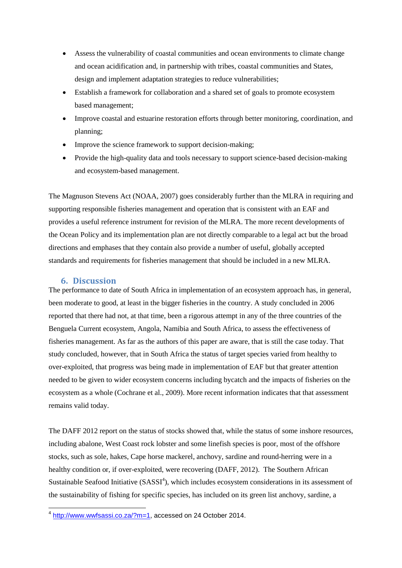- Assess the vulnerability of coastal communities and ocean environments to climate change and ocean acidification and, in partnership with tribes, coastal communities and States, design and implement adaptation strategies to reduce vulnerabilities;
- Establish a framework for collaboration and a shared set of goals to promote ecosystem based management;
- Improve coastal and estuarine restoration efforts through better monitoring, coordination, and planning;
- Improve the science framework to support decision-making;
- Provide the high-quality data and tools necessary to support science-based decision-making and ecosystem-based management.

The Magnuson Stevens Act (NOAA, 2007) goes considerably further than the MLRA in requiring and supporting responsible fisheries management and operation that is consistent with an EAF and provides a useful reference instrument for revision of the MLRA. The more recent developments of the Ocean Policy and its implementation plan are not directly comparable to a legal act but the broad directions and emphases that they contain also provide a number of useful, globally accepted standards and requirements for fisheries management that should be included in a new MLRA.

## <span id="page-25-0"></span>**6. Discussion**

The performance to date of South Africa in implementation of an ecosystem approach has, in general, been moderate to good, at least in the bigger fisheries in the country. A study concluded in 2006 reported that there had not, at that time, been a rigorous attempt in any of the three countries of the Benguela Current ecosystem, Angola, Namibia and South Africa, to assess the effectiveness of fisheries management. As far as the authors of this paper are aware, that is still the case today. That study concluded, however, that in South Africa the status of target species varied from healthy to over-exploited, that progress was being made in implementation of EAF but that greater attention needed to be given to wider ecosystem concerns including bycatch and the impacts of fisheries on the ecosystem as a whole (Cochrane et al., 2009). More recent information indicates that that assessment remains valid today.

The DAFF 2012 report on the status of stocks showed that, while the status of some inshore resources, including abalone, West Coast rock lobster and some linefish species is poor, most of the offshore stocks, such as sole, hakes, Cape horse mackerel, anchovy, sardine and round-herring were in a healthy condition or, if over-exploited, were recovering (DAFF, 2012). The Southern African Sustainable Seafood Initiative  $(SASSI<sup>4</sup>)$ , which includes ecosystem considerations in its assessment of the sustainability of fishing for specific species, has included on its green list anchovy, sardine, a

 4 [http://www.wwfsassi.co.za/?m=1,](http://www.wwfsassi.co.za/?m=1) accessed on 24 October 2014.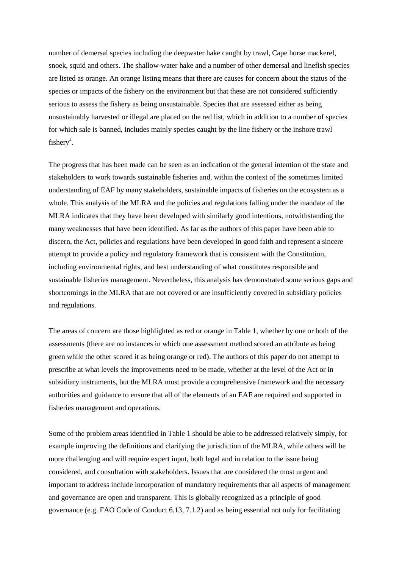number of demersal species including the deepwater hake caught by trawl, Cape horse mackerel, snoek, squid and others. The shallow-water hake and a number of other demersal and linefish species are listed as orange. An orange listing means that there are causes for concern about the status of the species or impacts of the fishery on the environment but that these are not considered sufficiently serious to assess the fishery as being unsustainable. Species that are assessed either as being unsustainably harvested or illegal are placed on the red list, which in addition to a number of species for which sale is banned, includes mainly species caught by the line fishery or the inshore trawl fishery<sup>4</sup>.

The progress that has been made can be seen as an indication of the general intention of the state and stakeholders to work towards sustainable fisheries and, within the context of the sometimes limited understanding of EAF by many stakeholders, sustainable impacts of fisheries on the ecosystem as a whole. This analysis of the MLRA and the policies and regulations falling under the mandate of the MLRA indicates that they have been developed with similarly good intentions, notwithstanding the many weaknesses that have been identified. As far as the authors of this paper have been able to discern, the Act, policies and regulations have been developed in good faith and represent a sincere attempt to provide a policy and regulatory framework that is consistent with the Constitution, including environmental rights, and best understanding of what constitutes responsible and sustainable fisheries management. Nevertheless, this analysis has demonstrated some serious gaps and shortcomings in the MLRA that are not covered or are insufficiently covered in subsidiary policies and regulations.

The areas of concern are those highlighted as red or orange in Table 1, whether by one or both of the assessments (there are no instances in which one assessment method scored an attribute as being green while the other scored it as being orange or red). The authors of this paper do not attempt to prescribe at what levels the improvements need to be made, whether at the level of the Act or in subsidiary instruments, but the MLRA must provide a comprehensive framework and the necessary authorities and guidance to ensure that all of the elements of an EAF are required and supported in fisheries management and operations.

Some of the problem areas identified in Table 1 should be able to be addressed relatively simply, for example improving the definitions and clarifying the jurisdiction of the MLRA, while others will be more challenging and will require expert input, both legal and in relation to the issue being considered, and consultation with stakeholders. Issues that are considered the most urgent and important to address include incorporation of mandatory requirements that all aspects of management and governance are open and transparent. This is globally recognized as a principle of good governance (e.g. FAO Code of Conduct 6.13, 7.1.2) and as being essential not only for facilitating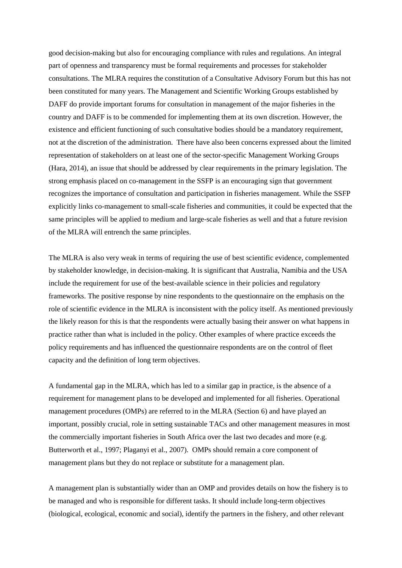good decision-making but also for encouraging compliance with rules and regulations. An integral part of openness and transparency must be formal requirements and processes for stakeholder consultations. The MLRA requires the constitution of a Consultative Advisory Forum but this has not been constituted for many years. The Management and Scientific Working Groups established by DAFF do provide important forums for consultation in management of the major fisheries in the country and DAFF is to be commended for implementing them at its own discretion. However, the existence and efficient functioning of such consultative bodies should be a mandatory requirement, not at the discretion of the administration. There have also been concerns expressed about the limited representation of stakeholders on at least one of the sector-specific Management Working Groups (Hara, 2014), an issue that should be addressed by clear requirements in the primary legislation. The strong emphasis placed on co-management in the SSFP is an encouraging sign that government recognizes the importance of consultation and participation in fisheries management. While the SSFP explicitly links co-management to small-scale fisheries and communities, it could be expected that the same principles will be applied to medium and large-scale fisheries as well and that a future revision of the MLRA will entrench the same principles.

The MLRA is also very weak in terms of requiring the use of best scientific evidence, complemented by stakeholder knowledge, in decision-making. It is significant that Australia, Namibia and the USA include the requirement for use of the best-available science in their policies and regulatory frameworks. The positive response by nine respondents to the questionnaire on the emphasis on the role of scientific evidence in the MLRA is inconsistent with the policy itself. As mentioned previously the likely reason for this is that the respondents were actually basing their answer on what happens in practice rather than what is included in the policy. Other examples of where practice exceeds the policy requirements and has influenced the questionnaire respondents are on the control of fleet capacity and the definition of long term objectives.

A fundamental gap in the MLRA, which has led to a similar gap in practice, is the absence of a requirement for management plans to be developed and implemented for all fisheries. Operational management procedures (OMPs) are referred to in the MLRA (Section 6) and have played an important, possibly crucial, role in setting sustainable TACs and other management measures in most the commercially important fisheries in South Africa over the last two decades and more (e.g. Butterworth et al., 1997; Plaganyi et al., 2007). OMPs should remain a core component of management plans but they do not replace or substitute for a management plan.

A management plan is substantially wider than an OMP and provides details on how the fishery is to be managed and who is responsible for different tasks. It should include long-term objectives (biological, ecological, economic and social), identify the partners in the fishery, and other relevant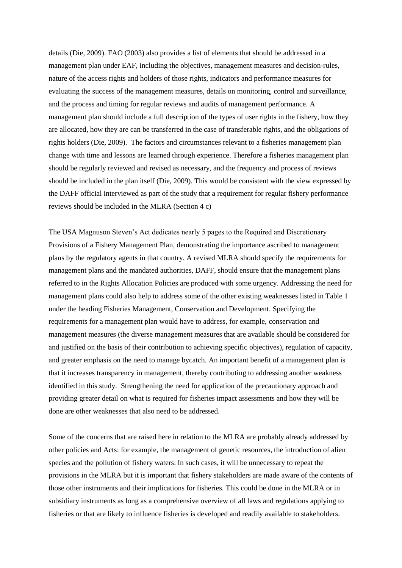details (Die, 2009). FAO (2003) also provides a list of elements that should be addressed in a management plan under EAF, including the objectives, management measures and decision-rules, nature of the access rights and holders of those rights, indicators and performance measures for evaluating the success of the management measures, details on monitoring, control and surveillance, and the process and timing for regular reviews and audits of management performance. A management plan should include a full description of the types of user rights in the fishery, how they are allocated, how they are can be transferred in the case of transferable rights, and the obligations of rights holders (Die, 2009). The factors and circumstances relevant to a fisheries management plan change with time and lessons are learned through experience. Therefore a fisheries management plan should be regularly reviewed and revised as necessary, and the frequency and process of reviews should be included in the plan itself (Die, 2009). This would be consistent with the view expressed by the DAFF official interviewed as part of the study that a requirement for regular fishery performance reviews should be included in the MLRA (Section 4 c)

The USA Magnuson Steven's Act dedicates nearly 5 pages to the Required and Discretionary Provisions of a Fishery Management Plan, demonstrating the importance ascribed to management plans by the regulatory agents in that country. A revised MLRA should specify the requirements for management plans and the mandated authorities, DAFF, should ensure that the management plans referred to in the Rights Allocation Policies are produced with some urgency. Addressing the need for management plans could also help to address some of the other existing weaknesses listed in Table 1 under the heading Fisheries Management, Conservation and Development. Specifying the requirements for a management plan would have to address, for example, conservation and management measures (the diverse management measures that are available should be considered for and justified on the basis of their contribution to achieving specific objectives), regulation of capacity, and greater emphasis on the need to manage bycatch. An important benefit of a management plan is that it increases transparency in management, thereby contributing to addressing another weakness identified in this study. Strengthening the need for application of the precautionary approach and providing greater detail on what is required for fisheries impact assessments and how they will be done are other weaknesses that also need to be addressed.

Some of the concerns that are raised here in relation to the MLRA are probably already addressed by other policies and Acts: for example, the management of genetic resources, the introduction of alien species and the pollution of fishery waters. In such cases, it will be unnecessary to repeat the provisions in the MLRA but it is important that fishery stakeholders are made aware of the contents of those other instruments and their implications for fisheries. This could be done in the MLRA or in subsidiary instruments as long as a comprehensive overview of all laws and regulations applying to fisheries or that are likely to influence fisheries is developed and readily available to stakeholders.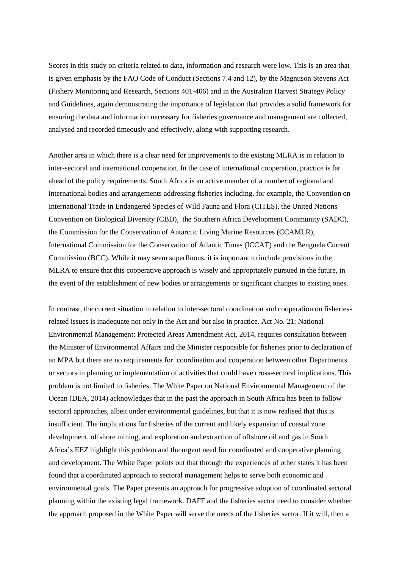Scores in this study on criteria related to data, information and research were low. This is an area that is given emphasis by the FAO Code of Conduct (Sections 7.4 and 12), by the Magnuson Stevens Act (Fishery Monitoring and Research, Sections 401-406) and in the Australian Harvest Strategy Policy and Guidelines, again demonstrating the importance of legislation that provides a solid framework for ensuring the data and information necessary for fisheries governance and management are collected, analysed and recorded timeously and effectively, along with supporting research.

Another area in which there is a clear need for improvements to the existing MLRA is in relation to inter-sectoral and international cooperation. In the case of international cooperation, practice is far ahead of the policy requirements. South Africa is an active member of a number of regional and international bodies and arrangements addressing fisheries including, for example, the Convention on International Trade in Endangered Species of Wild Fauna and Flora (CITES), the United Nations Convention on Biological Diversity (CBD), the Southern Africa Development Community (SADC), the Commission for the Conservation of Antarctic Living Marine Resources (CCAMLR), International Commission for the Conservation of Atlantic Tunas (ICCAT) and the Benguela Current Commission (BCC). While it may seem superfluous, it is important to include provisions in the MLRA to ensure that this cooperative approach is wisely and appropriately pursued in the future, in the event of the establishment of new bodies or arrangements or significant changes to existing ones.

In contrast, the current situation in relation to inter-sectoral coordination and cooperation on fisheriesrelated issues is inadequate not only in the Act and but also in practice. Act No. 21: National Environmental Management: Protected Areas Amendment Act, 2014, requires consultation between the Minister of Environmental Affairs and the Minister responsible for fisheries prior to declaration of an MPA but there are no requirements for coordination and cooperation between other Departments or sectors in planning or implementation of activities that could have cross-sectoral implications. This problem is not limited to fisheries. The White Paper on National Environmental Management of the Ocean (DEA, 2014) acknowledges that in the past the approach in South Africa has been to follow sectoral approaches, albeit under environmental guidelines, but that it is now realised that this is insufficient. The implications for fisheries of the current and likely expansion of coastal zone development, offshore mining, and exploration and extraction of offshore oil and gas in South Africa's EEZ highlight this problem and the urgent need for coordinated and cooperative planning and development. The White Paper points out that through the experiences of other states it has been found that a coordinated approach to sectoral management helps to serve both economic and environmental goals. The Paper presents an approach for progressive adoption of coordinated sectoral planning within the existing legal framework. DAFF and the fisheries sector need to consider whether the approach proposed in the White Paper will serve the needs of the fisheries sector. If it will, then a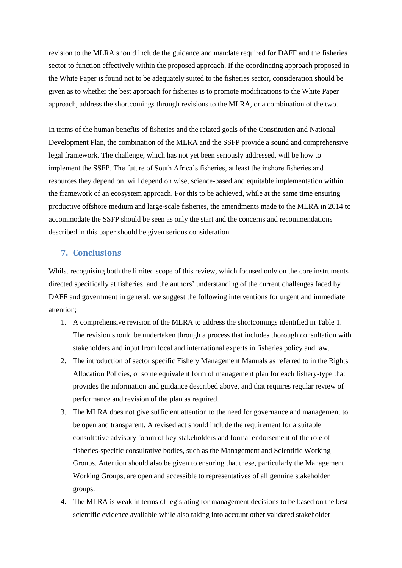revision to the MLRA should include the guidance and mandate required for DAFF and the fisheries sector to function effectively within the proposed approach. If the coordinating approach proposed in the White Paper is found not to be adequately suited to the fisheries sector, consideration should be given as to whether the best approach for fisheries is to promote modifications to the White Paper approach, address the shortcomings through revisions to the MLRA, or a combination of the two.

In terms of the human benefits of fisheries and the related goals of the Constitution and National Development Plan, the combination of the MLRA and the SSFP provide a sound and comprehensive legal framework. The challenge, which has not yet been seriously addressed, will be how to implement the SSFP. The future of South Africa's fisheries, at least the inshore fisheries and resources they depend on, will depend on wise, science-based and equitable implementation within the framework of an ecosystem approach. For this to be achieved, while at the same time ensuring productive offshore medium and large-scale fisheries, the amendments made to the MLRA in 2014 to accommodate the SSFP should be seen as only the start and the concerns and recommendations described in this paper should be given serious consideration.

## <span id="page-30-0"></span>**7. Conclusions**

Whilst recognising both the limited scope of this review, which focused only on the core instruments directed specifically at fisheries, and the authors' understanding of the current challenges faced by DAFF and government in general, we suggest the following interventions for urgent and immediate attention;

- 1. A comprehensive revision of the MLRA to address the shortcomings identified in Table 1. The revision should be undertaken through a process that includes thorough consultation with stakeholders and input from local and international experts in fisheries policy and law.
- 2. The introduction of sector specific Fishery Management Manuals as referred to in the Rights Allocation Policies, or some equivalent form of management plan for each fishery-type that provides the information and guidance described above, and that requires regular review of performance and revision of the plan as required.
- 3. The MLRA does not give sufficient attention to the need for governance and management to be open and transparent. A revised act should include the requirement for a suitable consultative advisory forum of key stakeholders and formal endorsement of the role of fisheries-specific consultative bodies, such as the Management and Scientific Working Groups. Attention should also be given to ensuring that these, particularly the Management Working Groups, are open and accessible to representatives of all genuine stakeholder groups.
- 4. The MLRA is weak in terms of legislating for management decisions to be based on the best scientific evidence available while also taking into account other validated stakeholder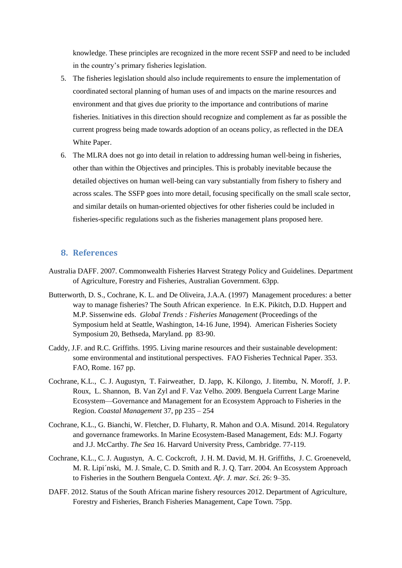knowledge. These principles are recognized in the more recent SSFP and need to be included in the country's primary fisheries legislation.

- 5. The fisheries legislation should also include requirements to ensure the implementation of coordinated sectoral planning of human uses of and impacts on the marine resources and environment and that gives due priority to the importance and contributions of marine fisheries. Initiatives in this direction should recognize and complement as far as possible the current progress being made towards adoption of an oceans policy, as reflected in the DEA White Paper.
- 6. The MLRA does not go into detail in relation to addressing human well-being in fisheries, other than within the Objectives and principles. This is probably inevitable because the detailed objectives on human well-being can vary substantially from fishery to fishery and across scales. The SSFP goes into more detail, focusing specifically on the small scale sector, and similar details on human-oriented objectives for other fisheries could be included in fisheries-specific regulations such as the fisheries management plans proposed here.

## <span id="page-31-0"></span>**8. References**

- Australia DAFF. 2007. Commonwealth Fisheries Harvest Strategy Policy and Guidelines. Department of Agriculture, Forestry and Fisheries, Australian Government. 63pp.
- Butterworth, D. S., Cochrane, K. L. and De Oliveira, J.A.A. (1997) Management procedures: a better way to manage fisheries? The South African experience. In E.K. Pikitch, D.D. Huppert and M.P. Sissenwine eds. *Global Trends : Fisheries Management* (Proceedings of the Symposium held at Seattle, Washington, 14-16 June, 1994). American Fisheries Society Symposium 20, Bethseda, Maryland. pp 83-90.
- Caddy, J.F. and R.C. Griffiths. 1995. Living marine resources and their sustainable development: some environmental and institutional perspectives. FAO Fisheries Technical Paper. 353. FAO, Rome. 167 pp.
- Cochrane, K.L., C. J. Augustyn, T. Fairweather, D. Japp, K. Kilongo, J. Iitembu, N. Moroff, J. P. Roux, L. Shannon, B. Van Zyl and F. Vaz Velho. 2009. Benguela Current Large Marine Ecosystem—Governance and Management for an Ecosystem Approach to Fisheries in the Region. *Coastal Management* 37, pp 235 – 254
- Cochrane, K.L., G. Bianchi, W. Fletcher, D. Fluharty, R. Mahon and O.A. Misund. 2014. Regulatory and governance frameworks. In Marine Ecosystem-Based Management, Eds: M.J. Fogarty and J.J. McCarthy. *The Sea* 16. Harvard University Press, Cambridge. 77-119.
- Cochrane, K.L., C. J. Augustyn, A. C. Cockcroft, J. H. M. David, M. H. Griffiths, J. C. Groeneveld, M. R. Lipi´nski, M. J. Smale, C. D. Smith and R. J. Q. Tarr. 2004. An Ecosystem Approach to Fisheries in the Southern Benguela Context. *Afr. J. mar. Sci.* 26: 9–35.
- DAFF. 2012. Status of the South African marine fishery resources 2012. Department of Agriculture, Forestry and Fisheries, Branch Fisheries Management, Cape Town. 75pp.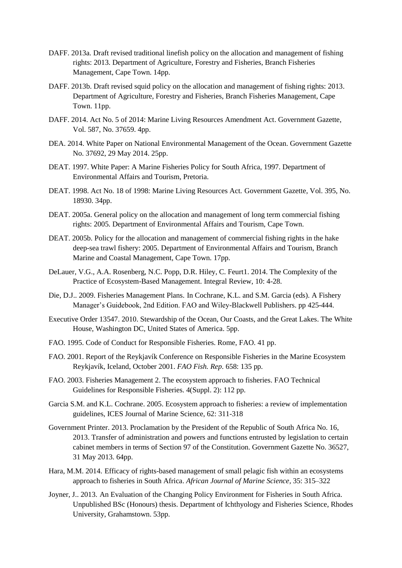- DAFF. 2013a. Draft revised traditional linefish policy on the allocation and management of fishing rights: 2013. Department of Agriculture, Forestry and Fisheries, Branch Fisheries Management, Cape Town. 14pp.
- DAFF. 2013b. Draft revised squid policy on the allocation and management of fishing rights: 2013. Department of Agriculture, Forestry and Fisheries, Branch Fisheries Management, Cape Town. 11pp.
- DAFF. 2014. Act No. 5 of 2014: Marine Living Resources Amendment Act. Government Gazette, Vol. 587, No. 37659. 4pp.
- DEA. 2014. White Paper on National Environmental Management of the Ocean. Government Gazette No. 37692, 29 May 2014. 25pp.
- DEAT. 1997. White Paper: A Marine Fisheries Policy for South Africa, 1997. Department of Environmental Affairs and Tourism, Pretoria.
- DEAT. 1998. Act No. 18 of 1998: Marine Living Resources Act. Government Gazette, Vol. 395, No. 18930. 34pp.
- DEAT. 2005a. General policy on the allocation and management of long term commercial fishing rights: 2005. Department of Environmental Affairs and Tourism, Cape Town.
- DEAT. 2005b. Policy for the allocation and management of commercial fishing rights in the hake deep-sea trawl fishery: 2005. Department of Environmental Affairs and Tourism, Branch Marine and Coastal Management, Cape Town. 17pp.
- DeLauer, V.G., A.A. Rosenberg, N.C. Popp, D.R. Hiley, C. Feurt1. 2014. The Complexity of the Practice of Ecosystem-Based Management. Integral Review, 10: 4-28.
- Die, D.J.. 2009. Fisheries Management Plans. In Cochrane, K.L. and S.M. Garcia (eds). A Fishery Manager's Guidebook, 2nd Edition. FAO and Wiley-Blackwell Publishers. pp 425-444.
- Executive Order 13547. 2010. Stewardship of the Ocean, Our Coasts, and the Great Lakes. The White House, Washington DC, United States of America. 5pp.
- FAO. 1995. Code of Conduct for Responsible Fisheries. Rome, FAO. 41 pp.
- FAO. 2001. Report of the Reykjavík Conference on Responsible Fisheries in the Marine Ecosystem Reykjavík, Iceland, October 2001. *FAO Fish. Rep*. 658: 135 pp.
- FAO. 2003. Fisheries Management 2. The ecosystem approach to fisheries. FAO Technical Guidelines for Responsible Fisheries. 4(Suppl. 2): 112 pp.
- Garcia S.M. and K.L. Cochrane. 2005. Ecosystem approach to fisheries: a review of implementation guidelines, ICES Journal of Marine Science, 62: 311-318
- Government Printer. 2013. Proclamation by the President of the Republic of South Africa No. 16, 2013. Transfer of administration and powers and functions entrusted by legislation to certain cabinet members in terms of Section 97 of the Constitution. Government Gazette No. 36527, 31 May 2013. 64pp.
- Hara, M.M. 2014. Efficacy of rights-based management of small pelagic fish within an ecosystems approach to fisheries in South Africa. *African Journal of Marine Science,* 35: 315–322
- Joyner, J.. 2013. An Evaluation of the Changing Policy Environment for Fisheries in South Africa. Unpublished BSc (Honours) thesis. Department of Ichthyology and Fisheries Science, Rhodes University, Grahamstown. 53pp.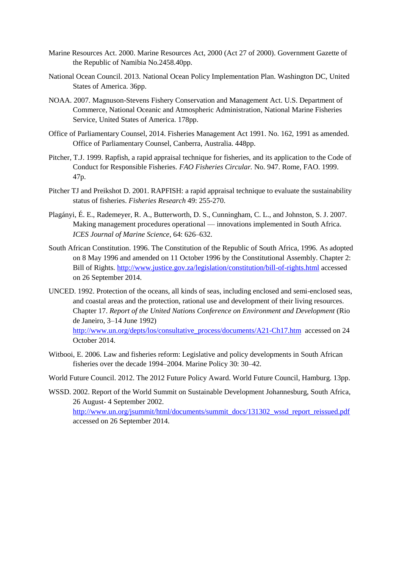- Marine Resources Act. 2000. Marine Resources Act, 2000 (Act 27 of 2000). Government Gazette of the Republic of Namibia No.2458.40pp.
- National Ocean Council. 2013. National Ocean Policy Implementation Plan. Washington DC, United States of America. 36pp.
- NOAA. 2007. Magnuson-Stevens Fishery Conservation and Management Act. U.S. Department of Commerce, National Oceanic and Atmospheric Administration, National Marine Fisheries Service, United States of America. 178pp.
- Office of Parliamentary Counsel, 2014. Fisheries Management Act 1991. No. 162, 1991 as amended. Office of Parliamentary Counsel, Canberra, Australia. 448pp.
- Pitcher, T.J. 1999. Rapfish, a rapid appraisal technique for fisheries, and its application to the Code of Conduct for Responsible Fisheries. *FAO Fisheries Circular.* No. 947. Rome, FAO. 1999. 47p.
- Pitcher TJ and Preikshot D. 2001. RAPFISH: a rapid appraisal technique to evaluate the sustainability status of fisheries. *Fisheries Research* 49: 255-270.
- Plagányi, É. E., Rademeyer, R. A., Butterworth, D. S., Cunningham, C. L., and Johnston, S. J. 2007. Making management procedures operational — innovations implemented in South Africa. *ICES Journal of Marine Science*, 64: 626–632.
- South African Constitution. 1996. The Constitution of the Republic of South Africa, 1996. As adopted on 8 May 1996 and amended on 11 October 1996 by the Constitutional Assembly. Chapter 2: Bill of Rights.<http://www.justice.gov.za/legislation/constitution/bill-of-rights.html> accessed on 26 September 2014.
- UNCED. 1992. Protection of the oceans, all kinds of seas, including enclosed and semi-enclosed seas, and coastal areas and the protection, rational use and development of their living resources. Chapter 17. *Report of the United Nations Conference on Environment and Development* (Rio de Janeiro, 3–14 June 1992) [http://www.un.org/depts/los/consultative\\_process/documents/A21-Ch17.htm](http://www.un.org/depts/los/consultative_process/documents/A21-Ch17.htm) accessed on 24 October 2014.
- Witbooi, E. 2006. Law and fisheries reform: Legislative and policy developments in South African fisheries over the decade 1994–2004. Marine Policy 30: 30–42.

World Future Council. 2012. The 2012 Future Policy Award. World Future Council, Hamburg. 13pp.

WSSD. 2002. Report of the World Summit on Sustainable Development Johannesburg, South Africa, 26 August- 4 September 2002. [http://www.un.org/jsummit/html/documents/summit\\_docs/131302\\_wssd\\_report\\_reissued.pdf](http://www.un.org/jsummit/html/documents/summit_docs/131302_wssd_report_reissued.pdf) accessed on 26 September 2014.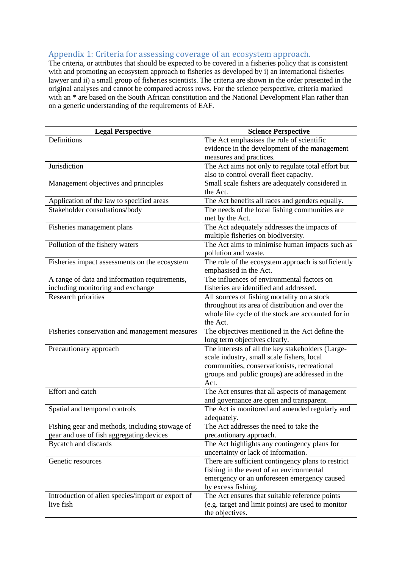## <span id="page-34-0"></span>Appendix 1: Criteria for assessing coverage of an ecosystem approach.

The criteria, or attributes that should be expected to be covered in a fisheries policy that is consistent with and promoting an ecosystem approach to fisheries as developed by i) an international fisheries lawyer and ii) a small group of fisheries scientists. The criteria are shown in the order presented in the original analyses and cannot be compared across rows. For the science perspective, criteria marked with an \* are based on the South African constitution and the National Development Plan rather than on a generic understanding of the requirements of EAF.

| <b>Legal Perspective</b>                          | <b>Science Perspective</b>                                                                |
|---------------------------------------------------|-------------------------------------------------------------------------------------------|
| Definitions                                       | The Act emphasises the role of scientific                                                 |
|                                                   | evidence in the development of the management                                             |
|                                                   | measures and practices.                                                                   |
| Jurisdiction                                      | The Act aims not only to regulate total effort but                                        |
|                                                   | also to control overall fleet capacity.                                                   |
| Management objectives and principles              | Small scale fishers are adequately considered in                                          |
|                                                   | the Act.                                                                                  |
| Application of the law to specified areas         | The Act benefits all races and genders equally.                                           |
| Stakeholder consultations/body                    | The needs of the local fishing communities are<br>met by the Act.                         |
| Fisheries management plans                        | The Act adequately addresses the impacts of                                               |
|                                                   | multiple fisheries on biodiversity.                                                       |
| Pollution of the fishery waters                   | The Act aims to minimise human impacts such as                                            |
|                                                   | pollution and waste.                                                                      |
| Fisheries impact assessments on the ecosystem     | The role of the ecosystem approach is sufficiently                                        |
|                                                   | emphasised in the Act.                                                                    |
| A range of data and information requirements,     | The influences of environmental factors on                                                |
| including monitoring and exchange                 | fisheries are identified and addressed.                                                   |
| Research priorities                               | All sources of fishing mortality on a stock                                               |
|                                                   | throughout its area of distribution and over the                                          |
|                                                   | whole life cycle of the stock are accounted for in                                        |
|                                                   | the Act.                                                                                  |
| Fisheries conservation and management measures    | The objectives mentioned in the Act define the                                            |
|                                                   | long term objectives clearly.                                                             |
| Precautionary approach                            | The interests of all the key stakeholders (Large-                                         |
|                                                   | scale industry, small scale fishers, local<br>communities, conservationists, recreational |
|                                                   | groups and public groups) are addressed in the                                            |
|                                                   | Act.                                                                                      |
| Effort and catch                                  | The Act ensures that all aspects of management                                            |
|                                                   | and governance are open and transparent.                                                  |
| Spatial and temporal controls                     | The Act is monitored and amended regularly and                                            |
|                                                   | adequately.                                                                               |
| Fishing gear and methods, including stowage of    | The Act addresses the need to take the                                                    |
| gear and use of fish aggregating devices          | precautionary approach.                                                                   |
| Bycatch and discards                              | The Act highlights any contingency plans for                                              |
|                                                   | uncertainty or lack of information.                                                       |
| Genetic resources                                 | There are sufficient contingency plans to restrict                                        |
|                                                   | fishing in the event of an environmental                                                  |
|                                                   | emergency or an unforeseen emergency caused                                               |
|                                                   | by excess fishing.                                                                        |
| Introduction of alien species/import or export of | The Act ensures that suitable reference points                                            |
| live fish                                         | (e.g. target and limit points) are used to monitor                                        |
|                                                   | the objectives.                                                                           |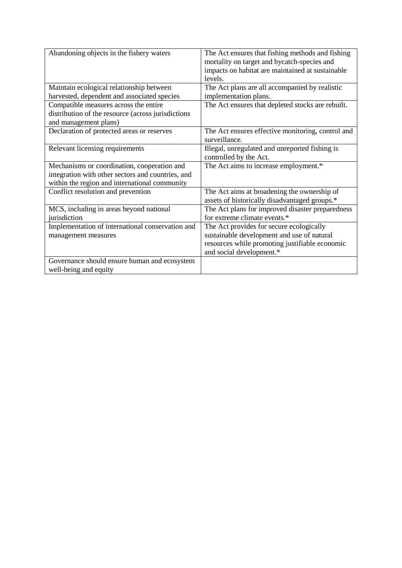| Abandoning objects in the fishery waters           | The Act ensures that fishing methods and fishing<br>mortality on target and bycatch-species and<br>impacts on habitat are maintained at sustainable<br>levels. |
|----------------------------------------------------|----------------------------------------------------------------------------------------------------------------------------------------------------------------|
| Maintain ecological relationship between           | The Act plans are all accompanied by realistic                                                                                                                 |
| harvested, dependent and associated species        | implementation plans.                                                                                                                                          |
| Compatible measures across the entire              | The Act ensures that depleted stocks are rebuilt.                                                                                                              |
| distribution of the resource (across jurisdictions |                                                                                                                                                                |
| and management plans)                              |                                                                                                                                                                |
| Declaration of protected areas or reserves         | The Act ensures effective monitoring, control and<br>surveillance.                                                                                             |
| Relevant licensing requirements                    | Illegal, unregulated and unreported fishing is                                                                                                                 |
|                                                    | controlled by the Act.                                                                                                                                         |
| Mechanisms or coordination, cooperation and        | The Act aims to increase employment.*                                                                                                                          |
| integration with other sectors and countries, and  |                                                                                                                                                                |
| within the region and international community      |                                                                                                                                                                |
| Conflict resolution and prevention                 | The Act aims at broadening the ownership of                                                                                                                    |
|                                                    | assets of historically disadvantaged groups.*                                                                                                                  |
| MCS, including in areas beyond national            | The Act plans for improved disaster preparedness                                                                                                               |
| jurisdiction                                       | for extreme climate events.*                                                                                                                                   |
| Implementation of international conservation and   | The Act provides for secure ecologically                                                                                                                       |
| management measures                                | sustainable development and use of natural                                                                                                                     |
|                                                    | resources while promoting justifiable economic                                                                                                                 |
|                                                    | and social development.*                                                                                                                                       |
| Governance should ensure human and ecosystem       |                                                                                                                                                                |
| well-being and equity                              |                                                                                                                                                                |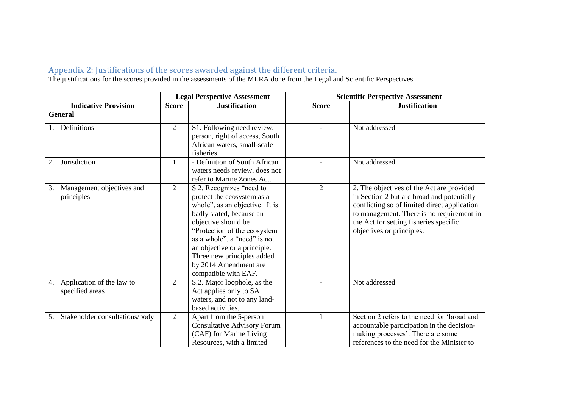## Appendix 2: Justifications of the scores awarded against the different criteria.

The justifications for the scores provided in the assessments of the MLRA done from the Legal and Scientific Perspectives.

<span id="page-36-0"></span>

|                                                    |                | <b>Legal Perspective Assessment</b>                                                                                                                                                                                                                                                                                        | <b>Scientific Perspective Assessment</b> |                |                                                                                                                                                                                                                                                             |
|----------------------------------------------------|----------------|----------------------------------------------------------------------------------------------------------------------------------------------------------------------------------------------------------------------------------------------------------------------------------------------------------------------------|------------------------------------------|----------------|-------------------------------------------------------------------------------------------------------------------------------------------------------------------------------------------------------------------------------------------------------------|
| <b>Indicative Provision</b>                        | <b>Score</b>   | <b>Justification</b>                                                                                                                                                                                                                                                                                                       |                                          | <b>Score</b>   | <b>Justification</b>                                                                                                                                                                                                                                        |
| <b>General</b>                                     |                |                                                                                                                                                                                                                                                                                                                            |                                          |                |                                                                                                                                                                                                                                                             |
| Definitions                                        | $\overline{2}$ | S1. Following need review:<br>person, right of access, South<br>African waters, small-scale<br>fisheries                                                                                                                                                                                                                   |                                          |                | Not addressed                                                                                                                                                                                                                                               |
| Jurisdiction<br>2.                                 | $\mathbf{1}$   | - Definition of South African<br>waters needs review, does not<br>refer to Marine Zones Act.                                                                                                                                                                                                                               |                                          |                | Not addressed                                                                                                                                                                                                                                               |
| Management objectives and<br>3.<br>principles      | $\overline{2}$ | S.2. Recognizes "need to<br>protect the ecosystem as a<br>whole", as an objective. It is<br>badly stated, because an<br>objective should be<br>"Protection of the ecosystem<br>as a whole", a "need" is not<br>an objective or a principle.<br>Three new principles added<br>by 2014 Amendment are<br>compatible with EAF. |                                          | $\overline{2}$ | 2. The objectives of the Act are provided<br>in Section 2 but are broad and potentially<br>conflicting so of limited direct application<br>to management. There is no requirement in<br>the Act for setting fisheries specific<br>objectives or principles. |
| Application of the law to<br>4.<br>specified areas | $\overline{2}$ | S.2. Major loophole, as the<br>Act applies only to SA<br>waters, and not to any land-<br>based activities.                                                                                                                                                                                                                 |                                          |                | Not addressed                                                                                                                                                                                                                                               |
| Stakeholder consultations/body<br>5.               | $\overline{2}$ | Apart from the 5-person<br><b>Consultative Advisory Forum</b><br>(CAF) for Marine Living<br>Resources, with a limited                                                                                                                                                                                                      |                                          |                | Section 2 refers to the need for 'broad and<br>accountable participation in the decision-<br>making processes'. There are some<br>references to the need for the Minister to                                                                                |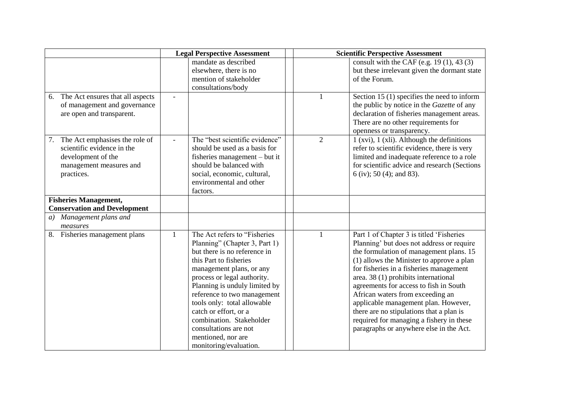|                                                                                                                             |                | <b>Legal Perspective Assessment</b>                                                                                                                                                                                                                                                                                                                                                                              |                | <b>Scientific Perspective Assessment</b>                                                                                                                                                                                                                                                                                                                                                                                                                                                                                  |
|-----------------------------------------------------------------------------------------------------------------------------|----------------|------------------------------------------------------------------------------------------------------------------------------------------------------------------------------------------------------------------------------------------------------------------------------------------------------------------------------------------------------------------------------------------------------------------|----------------|---------------------------------------------------------------------------------------------------------------------------------------------------------------------------------------------------------------------------------------------------------------------------------------------------------------------------------------------------------------------------------------------------------------------------------------------------------------------------------------------------------------------------|
|                                                                                                                             |                | mandate as described<br>elsewhere, there is no<br>mention of stakeholder<br>consultations/body                                                                                                                                                                                                                                                                                                                   |                | consult with the CAF (e.g. $19(1)$ , 43(3)<br>but these irrelevant given the dormant state<br>of the Forum.                                                                                                                                                                                                                                                                                                                                                                                                               |
| The Act ensures that all aspects<br>6.<br>of management and governance<br>are open and transparent.                         |                |                                                                                                                                                                                                                                                                                                                                                                                                                  |                | Section 15 $(1)$ specifies the need to inform<br>the public by notice in the Gazette of any<br>declaration of fisheries management areas.<br>There are no other requirements for<br>openness or transparency.                                                                                                                                                                                                                                                                                                             |
| The Act emphasises the role of<br>scientific evidence in the<br>development of the<br>management measures and<br>practices. | $\overline{a}$ | The "best scientific evidence"<br>should be used as a basis for<br>fisheries management – but it<br>should be balanced with<br>social, economic, cultural,<br>environmental and other<br>factors.                                                                                                                                                                                                                | $\overline{2}$ | $1$ (xvi), $1$ (xli). Although the definitions<br>refer to scientific evidence, there is very<br>limited and inadequate reference to a role<br>for scientific advice and research (Sections<br>$6$ (iv); 50 (4); and 83).                                                                                                                                                                                                                                                                                                 |
| <b>Fisheries Management,</b><br><b>Conservation and Development</b>                                                         |                |                                                                                                                                                                                                                                                                                                                                                                                                                  |                |                                                                                                                                                                                                                                                                                                                                                                                                                                                                                                                           |
| Management plans and<br>a)<br>measures                                                                                      |                |                                                                                                                                                                                                                                                                                                                                                                                                                  |                |                                                                                                                                                                                                                                                                                                                                                                                                                                                                                                                           |
| 8. Fisheries management plans                                                                                               | 1              | The Act refers to "Fisheries"<br>Planning" (Chapter 3, Part 1)<br>but there is no reference in<br>this Part to fisheries<br>management plans, or any<br>process or legal authority.<br>Planning is unduly limited by<br>reference to two management<br>tools only: total allowable<br>catch or effort, or a<br>combination. Stakeholder<br>consultations are not<br>mentioned, nor are<br>monitoring/evaluation. |                | Part 1 of Chapter 3 is titled 'Fisheries<br>Planning' but does not address or require<br>the formulation of management plans. 15<br>(1) allows the Minister to approve a plan<br>for fisheries in a fisheries management<br>area. 38 (1) prohibits international<br>agreements for access to fish in South<br>African waters from exceeding an<br>applicable management plan. However,<br>there are no stipulations that a plan is<br>required for managing a fishery in these<br>paragraphs or anywhere else in the Act. |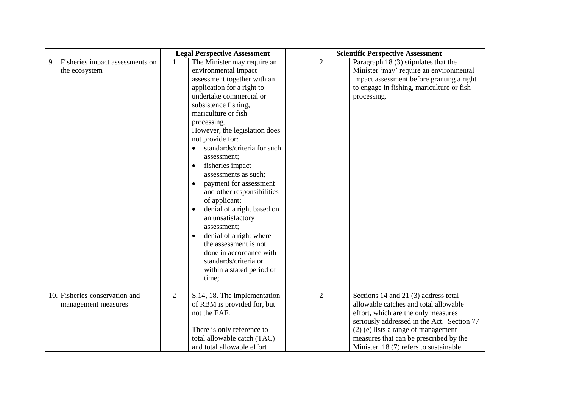|                                                        | <b>Legal Perspective Assessment</b>                                                                                                                                                                                                                                                                                                                                                                                                                                                                                                                                                                                                                                         | <b>Scientific Perspective Assessment</b>                                                                                                                                                                                                                                                                          |
|--------------------------------------------------------|-----------------------------------------------------------------------------------------------------------------------------------------------------------------------------------------------------------------------------------------------------------------------------------------------------------------------------------------------------------------------------------------------------------------------------------------------------------------------------------------------------------------------------------------------------------------------------------------------------------------------------------------------------------------------------|-------------------------------------------------------------------------------------------------------------------------------------------------------------------------------------------------------------------------------------------------------------------------------------------------------------------|
| 9.<br>Fisheries impact assessments on<br>the ecosystem | The Minister may require an<br>environmental impact<br>assessment together with an<br>application for a right to<br>undertake commercial or<br>subsistence fishing,<br>mariculture or fish<br>processing.<br>However, the legislation does<br>not provide for:<br>standards/criteria for such<br>assessment;<br>fisheries impact<br>$\bullet$<br>assessments as such;<br>payment for assessment<br>$\bullet$<br>and other responsibilities<br>of applicant;<br>denial of a right based on<br>an unsatisfactory<br>assessment;<br>denial of a right where<br>the assessment is not<br>done in accordance with<br>standards/criteria or<br>within a stated period of<br>time; | $\overline{2}$<br>Paragraph 18 (3) stipulates that the<br>Minister 'may' require an environmental<br>impact assessment before granting a right<br>to engage in fishing, mariculture or fish<br>processing.                                                                                                        |
| 10. Fisheries conservation and<br>management measures  | $\overline{2}$<br>S.14, 18. The implementation<br>of RBM is provided for, but<br>not the EAF.<br>There is only reference to<br>total allowable catch (TAC)<br>and total allowable effort                                                                                                                                                                                                                                                                                                                                                                                                                                                                                    | $\overline{2}$<br>Sections 14 and 21 (3) address total<br>allowable catches and total allowable<br>effort, which are the only measures<br>seriously addressed in the Act. Section 77<br>$(2)$ (e) lists a range of management<br>measures that can be prescribed by the<br>Minister. 18 (7) refers to sustainable |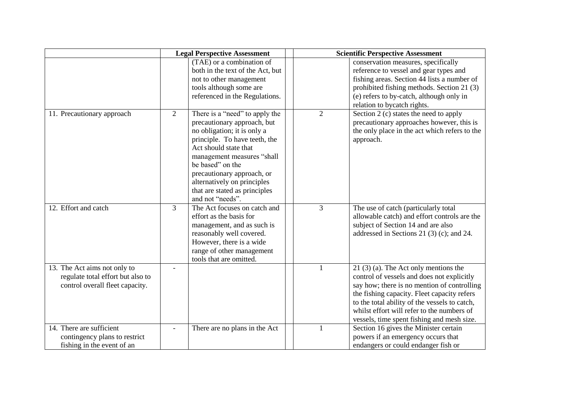|                                                                                                      | <b>Legal Perspective Assessment</b> |                                                                                                                                                                                                                                                                                                                            | <b>Scientific Perspective Assessment</b> |                                                                                                                                                                                                                                                                                                                                  |  |
|------------------------------------------------------------------------------------------------------|-------------------------------------|----------------------------------------------------------------------------------------------------------------------------------------------------------------------------------------------------------------------------------------------------------------------------------------------------------------------------|------------------------------------------|----------------------------------------------------------------------------------------------------------------------------------------------------------------------------------------------------------------------------------------------------------------------------------------------------------------------------------|--|
|                                                                                                      |                                     | (TAE) or a combination of<br>both in the text of the Act, but<br>not to other management<br>tools although some are<br>referenced in the Regulations.                                                                                                                                                                      |                                          | conservation measures, specifically<br>reference to vessel and gear types and<br>fishing areas. Section 44 lists a number of<br>prohibited fishing methods. Section 21 (3)<br>(e) refers to by-catch, although only in<br>relation to bycatch rights.                                                                            |  |
| 11. Precautionary approach                                                                           | $\overline{2}$                      | There is a "need" to apply the<br>precautionary approach, but<br>no obligation; it is only a<br>principle. To have teeth, the<br>Act should state that<br>management measures "shall<br>be based" on the<br>precautionary approach, or<br>alternatively on principles<br>that are stated as principles<br>and not "needs". | $\overline{2}$                           | Section 2 (c) states the need to apply<br>precautionary approaches however, this is<br>the only place in the act which refers to the<br>approach.                                                                                                                                                                                |  |
| 12. Effort and catch                                                                                 | $\overline{3}$                      | The Act focuses on catch and<br>effort as the basis for<br>management, and as such is<br>reasonably well covered.<br>However, there is a wide<br>range of other management<br>tools that are omitted.                                                                                                                      | 3                                        | The use of catch (particularly total<br>allowable catch) and effort controls are the<br>subject of Section 14 and are also<br>addressed in Sections 21 $(3)(c)$ ; and 24.                                                                                                                                                        |  |
| 13. The Act aims not only to<br>regulate total effort but also to<br>control overall fleet capacity. |                                     |                                                                                                                                                                                                                                                                                                                            |                                          | $21$ (3) (a). The Act only mentions the<br>control of vessels and does not explicitly<br>say how; there is no mention of controlling<br>the fishing capacity. Fleet capacity refers<br>to the total ability of the vessels to catch,<br>whilst effort will refer to the numbers of<br>vessels, time spent fishing and mesh size. |  |
| 14. There are sufficient<br>contingency plans to restrict<br>fishing in the event of an              |                                     | There are no plans in the Act                                                                                                                                                                                                                                                                                              | 1                                        | Section 16 gives the Minister certain<br>powers if an emergency occurs that<br>endangers or could endanger fish or                                                                                                                                                                                                               |  |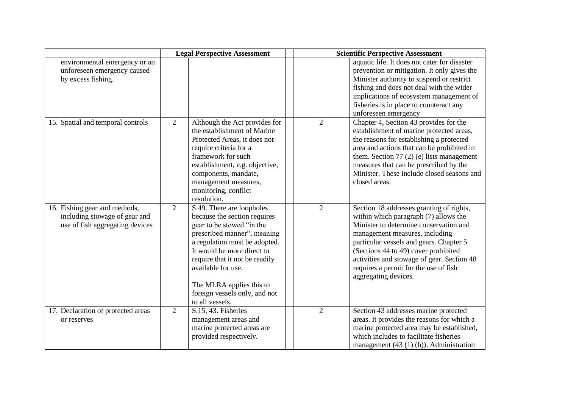|                                                                                                   |                | <b>Legal Perspective Assessment</b>                                                                                                                                                                                                                                                                                          |                | <b>Scientific Perspective Assessment</b>                                                                                                                                                                                                                                                                                                                        |
|---------------------------------------------------------------------------------------------------|----------------|------------------------------------------------------------------------------------------------------------------------------------------------------------------------------------------------------------------------------------------------------------------------------------------------------------------------------|----------------|-----------------------------------------------------------------------------------------------------------------------------------------------------------------------------------------------------------------------------------------------------------------------------------------------------------------------------------------------------------------|
| environmental emergency or an<br>unforeseen emergency caused<br>by excess fishing.                |                |                                                                                                                                                                                                                                                                                                                              |                | aquatic life. It does not cater for disaster<br>prevention or mitigation. It only gives the<br>Minister authority to suspend or restrict<br>fishing and does not deal with the wider<br>implications of ecosystem management of<br>fisheries.is in place to counteract any<br>unforeseen emergency                                                              |
| 15. Spatial and temporal controls                                                                 | 2              | Although the Act provides for<br>the establishment of Marine<br>Protected Areas, it does not<br>require criteria for a<br>framework for such<br>establishment, e.g. objective,<br>components, mandate,<br>management measures,<br>monitoring, conflict<br>resolution.                                                        | $\overline{2}$ | Chapter 4, Section 43 provides for the<br>establishment of marine protected areas,<br>the reasons for establishing a protected<br>area and actions that can be prohibited in<br>them. Section $77(2)$ (e) lists management<br>measures that can be prescribed by the<br>Minister. These include closed seasons and<br>closed areas.                             |
| 16. Fishing gear and methods,<br>including stowage of gear and<br>use of fish aggregating devices | $\overline{2}$ | S.49. There are loopholes<br>because the section requires<br>gear to be stowed "in the<br>prescribed manner", meaning<br>a regulation must be adopted.<br>It would be more direct to<br>require that it not be readily<br>available for use.<br>The MLRA applies this to<br>foreign vessels only, and not<br>to all vessels. | $\overline{2}$ | Section 18 addresses granting of rights,<br>within which paragraph (7) allows the<br>Minister to determine conservation and<br>management measures, including<br>particular vessels and gears. Chapter 5<br>(Sections 44 to 49) cover prohibited<br>activities and stowage of gear. Section 48<br>requires a permit for the use of fish<br>aggregating devices. |
| 17. Declaration of protected areas<br>or reserves                                                 | $\overline{2}$ | S.15, 43. Fisheries<br>management areas and<br>marine protected areas are<br>provided respectively.                                                                                                                                                                                                                          | $\overline{2}$ | Section 43 addresses marine protected<br>areas. It provides the reasons for which a<br>marine protected area may be established,<br>which includes to facilitate fisheries<br>management $(43 (1) (b))$ . Administration                                                                                                                                        |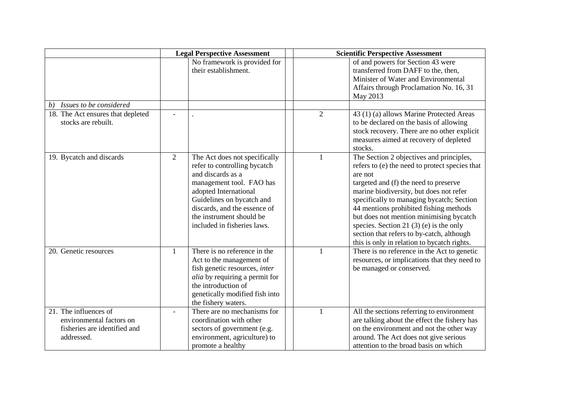|                                                                                                 | <b>Legal Perspective Assessment</b> |                                                                                                                                                                                                                                                                 | <b>Scientific Perspective Assessment</b> |                                                                                                                                                                                                                                                                                                                                                                                                                                                                        |  |
|-------------------------------------------------------------------------------------------------|-------------------------------------|-----------------------------------------------------------------------------------------------------------------------------------------------------------------------------------------------------------------------------------------------------------------|------------------------------------------|------------------------------------------------------------------------------------------------------------------------------------------------------------------------------------------------------------------------------------------------------------------------------------------------------------------------------------------------------------------------------------------------------------------------------------------------------------------------|--|
|                                                                                                 |                                     | No framework is provided for<br>their establishment.                                                                                                                                                                                                            |                                          | of and powers for Section 43 were<br>transferred from DAFF to the, then,<br>Minister of Water and Environmental<br>Affairs through Proclamation No. 16, 31<br>May 2013                                                                                                                                                                                                                                                                                                 |  |
| Issues to be considered<br>b)                                                                   |                                     |                                                                                                                                                                                                                                                                 |                                          |                                                                                                                                                                                                                                                                                                                                                                                                                                                                        |  |
| 18. The Act ensures that depleted<br>stocks are rebuilt.                                        |                                     |                                                                                                                                                                                                                                                                 | $\overline{2}$                           | 43 (1) (a) allows Marine Protected Areas<br>to be declared on the basis of allowing<br>stock recovery. There are no other explicit<br>measures aimed at recovery of depleted<br>stocks.                                                                                                                                                                                                                                                                                |  |
| 19. Bycatch and discards                                                                        | 2                                   | The Act does not specifically<br>refer to controlling bycatch<br>and discards as a<br>management tool. FAO has<br>adopted International<br>Guidelines on bycatch and<br>discards, and the essence of<br>the instrument should be<br>included in fisheries laws. |                                          | The Section 2 objectives and principles,<br>refers to (e) the need to protect species that<br>are not<br>targeted and (f) the need to preserve<br>marine biodiversity, but does not refer<br>specifically to managing bycatch; Section<br>44 mentions prohibited fishing methods<br>but does not mention minimising bycatch<br>species. Section 21 $(3)$ $(e)$ is the only<br>section that refers to by-catch, although<br>this is only in relation to bycatch rights. |  |
| 20. Genetic resources                                                                           | 1                                   | There is no reference in the<br>Act to the management of<br>fish genetic resources, inter<br><i>alia</i> by requiring a permit for<br>the introduction of<br>genetically modified fish into<br>the fishery waters.                                              |                                          | There is no reference in the Act to genetic<br>resources, or implications that they need to<br>be managed or conserved.                                                                                                                                                                                                                                                                                                                                                |  |
| 21. The influences of<br>environmental factors on<br>fisheries are identified and<br>addressed. | $\equiv$                            | There are no mechanisms for<br>coordination with other<br>sectors of government (e.g.<br>environment, agriculture) to<br>promote a healthy                                                                                                                      | 1                                        | All the sections referring to environment<br>are talking about the effect the fishery has<br>on the environment and not the other way<br>around. The Act does not give serious<br>attention to the broad basis on which                                                                                                                                                                                                                                                |  |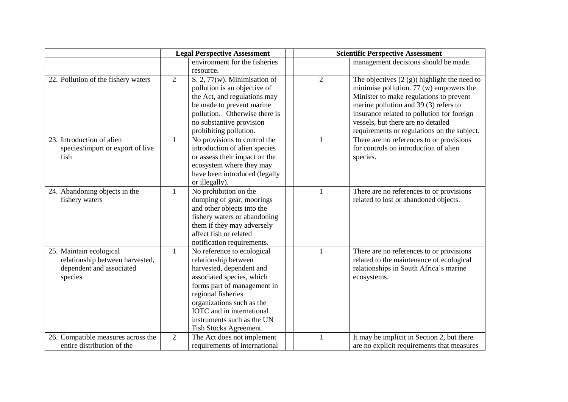|                                                 | <b>Legal Perspective Assessment</b> |                                         |  | <b>Scientific Perspective Assessment</b> |                                                   |  |
|-------------------------------------------------|-------------------------------------|-----------------------------------------|--|------------------------------------------|---------------------------------------------------|--|
|                                                 |                                     | environment for the fisheries           |  |                                          | management decisions should be made.              |  |
|                                                 |                                     | resource.                               |  |                                          |                                                   |  |
| 22. Pollution of the fishery waters             | $\overline{2}$                      | S. 2, 77(w). Minimisation of            |  | $\overline{2}$                           | The objectives $(2 (g))$ highlight the need to    |  |
|                                                 |                                     | pollution is an objective of            |  |                                          | minimise pollution. $77 \text{ (w)}$ empowers the |  |
|                                                 |                                     | the Act, and regulations may            |  |                                          | Minister to make regulations to prevent           |  |
|                                                 |                                     | be made to prevent marine               |  |                                          | marine pollution and 39 (3) refers to             |  |
|                                                 |                                     | pollution. Otherwise there is           |  |                                          | insurance related to pollution for foreign        |  |
|                                                 |                                     | no substantive provision                |  |                                          | vessels, but there are no detailed                |  |
|                                                 |                                     | prohibiting pollution.                  |  |                                          | requirements or regulations on the subject.       |  |
| 23. Introduction of alien                       | $\mathbf{1}$                        | No provisions to control the            |  |                                          | There are no references to or provisions          |  |
| species/import or export of live                |                                     | introduction of alien species           |  |                                          | for controls on introduction of alien             |  |
| fish                                            |                                     | or assess their impact on the           |  |                                          | species.                                          |  |
|                                                 |                                     | ecosystem where they may                |  |                                          |                                                   |  |
|                                                 |                                     | have been introduced (legally           |  |                                          |                                                   |  |
|                                                 |                                     | or illegally).<br>No prohibition on the |  | 1                                        | There are no references to or provisions          |  |
| 24. Abandoning objects in the<br>fishery waters | 1                                   | dumping of gear, moorings               |  |                                          | related to lost or abandoned objects.             |  |
|                                                 |                                     | and other objects into the              |  |                                          |                                                   |  |
|                                                 |                                     | fishery waters or abandoning            |  |                                          |                                                   |  |
|                                                 |                                     | them if they may adversely              |  |                                          |                                                   |  |
|                                                 |                                     | affect fish or related                  |  |                                          |                                                   |  |
|                                                 |                                     | notification requirements.              |  |                                          |                                                   |  |
| 25. Maintain ecological                         | 1                                   | No reference to ecological              |  | 1                                        | There are no references to or provisions          |  |
| relationship between harvested,                 |                                     | relationship between                    |  |                                          | related to the maintenance of ecological          |  |
| dependent and associated                        |                                     | harvested, dependent and                |  |                                          | relationships in South Africa's marine            |  |
| species                                         |                                     | associated species, which               |  |                                          | ecosystems.                                       |  |
|                                                 |                                     | forms part of management in             |  |                                          |                                                   |  |
|                                                 |                                     | regional fisheries                      |  |                                          |                                                   |  |
|                                                 |                                     | organizations such as the               |  |                                          |                                                   |  |
|                                                 |                                     | IOTC and in international               |  |                                          |                                                   |  |
|                                                 |                                     | instruments such as the UN              |  |                                          |                                                   |  |
|                                                 |                                     | Fish Stocks Agreement.                  |  |                                          |                                                   |  |
| 26. Compatible measures across the              | $\overline{2}$                      | The Act does not implement              |  | $\mathbf{1}$                             | It may be implicit in Section 2, but there        |  |
| entire distribution of the                      |                                     | requirements of international           |  |                                          | are no explicit requirements that measures        |  |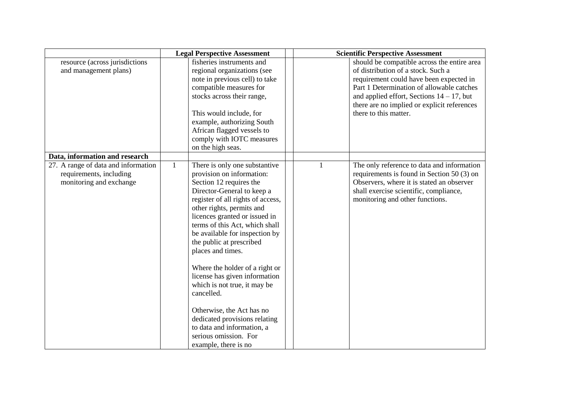|                                     |              | <b>Legal Perspective Assessment</b> |              | <b>Scientific Perspective Assessment</b>     |
|-------------------------------------|--------------|-------------------------------------|--------------|----------------------------------------------|
| resource (across jurisdictions      |              | fisheries instruments and           |              | should be compatible across the entire area  |
| and management plans)               |              | regional organizations (see         |              | of distribution of a stock. Such a           |
|                                     |              | note in previous cell) to take      |              | requirement could have been expected in      |
|                                     |              | compatible measures for             |              | Part 1 Determination of allowable catches    |
|                                     |              | stocks across their range,          |              | and applied effort, Sections $14 - 17$ , but |
|                                     |              |                                     |              | there are no implied or explicit references  |
|                                     |              | This would include, for             |              | there to this matter.                        |
|                                     |              | example, authorizing South          |              |                                              |
|                                     |              | African flagged vessels to          |              |                                              |
|                                     |              | comply with IOTC measures           |              |                                              |
|                                     |              | on the high seas.                   |              |                                              |
| Data, information and research      |              |                                     |              |                                              |
| 27. A range of data and information | $\mathbf{1}$ | There is only one substantive       | $\mathbf{1}$ | The only reference to data and information   |
| requirements, including             |              | provision on information:           |              | requirements is found in Section 50 (3) on   |
| monitoring and exchange             |              | Section 12 requires the             |              | Observers, where it is stated an observer    |
|                                     |              | Director-General to keep a          |              | shall exercise scientific, compliance,       |
|                                     |              | register of all rights of access,   |              | monitoring and other functions.              |
|                                     |              | other rights, permits and           |              |                                              |
|                                     |              | licences granted or issued in       |              |                                              |
|                                     |              | terms of this Act, which shall      |              |                                              |
|                                     |              | be available for inspection by      |              |                                              |
|                                     |              | the public at prescribed            |              |                                              |
|                                     |              | places and times.                   |              |                                              |
|                                     |              |                                     |              |                                              |
|                                     |              | Where the holder of a right or      |              |                                              |
|                                     |              | license has given information       |              |                                              |
|                                     |              | which is not true, it may be        |              |                                              |
|                                     |              | cancelled.                          |              |                                              |
|                                     |              | Otherwise, the Act has no           |              |                                              |
|                                     |              | dedicated provisions relating       |              |                                              |
|                                     |              | to data and information, a          |              |                                              |
|                                     |              | serious omission. For               |              |                                              |
|                                     |              |                                     |              |                                              |
|                                     |              | example, there is no                |              |                                              |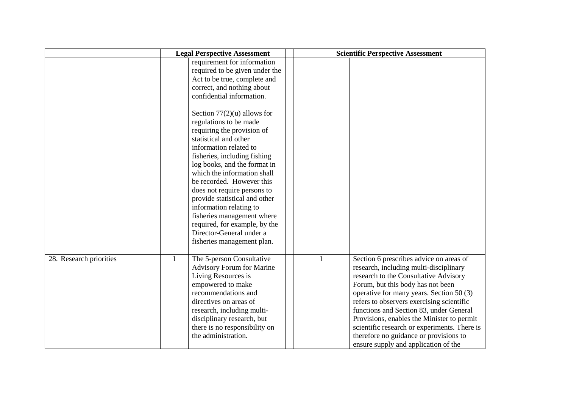|                         |              | <b>Legal Perspective Assessment</b>                                                                                                                                                                                                                                                                                                                                                                                                                                                                                                                                                                                                                  |              | <b>Scientific Perspective Assessment</b>                                                                                                                                                                                                                                                                                                                                                                                                                                            |
|-------------------------|--------------|------------------------------------------------------------------------------------------------------------------------------------------------------------------------------------------------------------------------------------------------------------------------------------------------------------------------------------------------------------------------------------------------------------------------------------------------------------------------------------------------------------------------------------------------------------------------------------------------------------------------------------------------------|--------------|-------------------------------------------------------------------------------------------------------------------------------------------------------------------------------------------------------------------------------------------------------------------------------------------------------------------------------------------------------------------------------------------------------------------------------------------------------------------------------------|
|                         |              | requirement for information<br>required to be given under the<br>Act to be true, complete and<br>correct, and nothing about<br>confidential information.<br>Section $77(2)(u)$ allows for<br>regulations to be made<br>requiring the provision of<br>statistical and other<br>information related to<br>fisheries, including fishing<br>log books, and the format in<br>which the information shall<br>be recorded. However this<br>does not require persons to<br>provide statistical and other<br>information relating to<br>fisheries management where<br>required, for example, by the<br>Director-General under a<br>fisheries management plan. |              |                                                                                                                                                                                                                                                                                                                                                                                                                                                                                     |
| 28. Research priorities | $\mathbf{1}$ | The 5-person Consultative<br><b>Advisory Forum for Marine</b><br>Living Resources is<br>empowered to make<br>recommendations and<br>directives on areas of<br>research, including multi-<br>disciplinary research, but<br>there is no responsibility on<br>the administration.                                                                                                                                                                                                                                                                                                                                                                       | $\mathbf{1}$ | Section 6 prescribes advice on areas of<br>research, including multi-disciplinary<br>research to the Consultative Advisory<br>Forum, but this body has not been<br>operative for many years. Section 50 (3)<br>refers to observers exercising scientific<br>functions and Section 83, under General<br>Provisions, enables the Minister to permit<br>scientific research or experiments. There is<br>therefore no guidance or provisions to<br>ensure supply and application of the |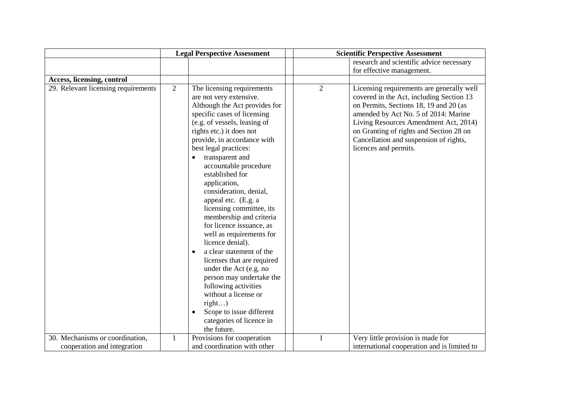|                                     |                | <b>Legal Perspective Assessment</b>                                                                                                                                                                                                                                                                                                                                                                                                                                                                                                                                                                                                                                                                                                                           | <b>Scientific Perspective Assessment</b> |                                                                                                                                                                                                                                                                                                                                |  |
|-------------------------------------|----------------|---------------------------------------------------------------------------------------------------------------------------------------------------------------------------------------------------------------------------------------------------------------------------------------------------------------------------------------------------------------------------------------------------------------------------------------------------------------------------------------------------------------------------------------------------------------------------------------------------------------------------------------------------------------------------------------------------------------------------------------------------------------|------------------------------------------|--------------------------------------------------------------------------------------------------------------------------------------------------------------------------------------------------------------------------------------------------------------------------------------------------------------------------------|--|
|                                     |                |                                                                                                                                                                                                                                                                                                                                                                                                                                                                                                                                                                                                                                                                                                                                                               |                                          | research and scientific advice necessary                                                                                                                                                                                                                                                                                       |  |
|                                     |                |                                                                                                                                                                                                                                                                                                                                                                                                                                                                                                                                                                                                                                                                                                                                                               |                                          | for effective management.                                                                                                                                                                                                                                                                                                      |  |
| Access, licensing, control          |                |                                                                                                                                                                                                                                                                                                                                                                                                                                                                                                                                                                                                                                                                                                                                                               |                                          |                                                                                                                                                                                                                                                                                                                                |  |
| 29. Relevant licensing requirements | $\overline{2}$ | The licensing requirements<br>are not very extensive.<br>Although the Act provides for<br>specific cases of licensing<br>(e.g. of vessels, leasing of<br>rights etc.) it does not<br>provide, in accordance with<br>best legal practices:<br>transparent and<br>accountable procedure<br>established for<br>application,<br>consideration, denial,<br>appeal etc. (E.g. a<br>licensing committee, its<br>membership and criteria<br>for licence issuance, as<br>well as requirements for<br>licence denial).<br>a clear statement of the<br>licenses that are required<br>under the Act (e.g. no<br>person may undertake the<br>following activities<br>without a license or<br>right)<br>Scope to issue different<br>categories of licence in<br>the future. | $\overline{2}$                           | Licensing requirements are generally well<br>covered in the Act, including Section 13<br>on Permits, Sections 18, 19 and 20 (as<br>amended by Act No. 5 of 2014: Marine<br>Living Resources Amendment Act, 2014)<br>on Granting of rights and Section 28 on<br>Cancellation and suspension of rights,<br>licences and permits. |  |
| 30. Mechanisms or coordination,     | $\mathbf{1}$   | Provisions for cooperation                                                                                                                                                                                                                                                                                                                                                                                                                                                                                                                                                                                                                                                                                                                                    | $\mathbf{1}$                             | Very little provision is made for                                                                                                                                                                                                                                                                                              |  |
| cooperation and integration         |                | and coordination with other                                                                                                                                                                                                                                                                                                                                                                                                                                                                                                                                                                                                                                                                                                                                   |                                          | international cooperation and is limited to                                                                                                                                                                                                                                                                                    |  |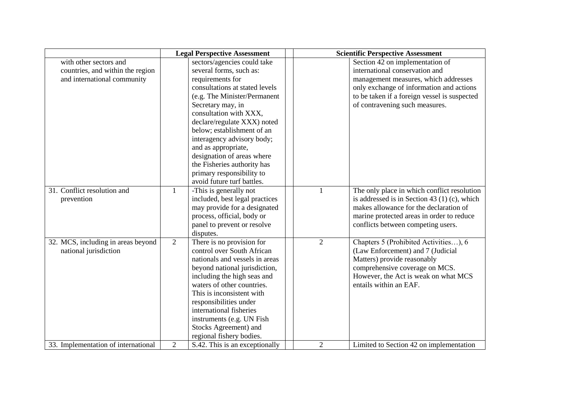|                                     |                | <b>Legal Perspective Assessment</b> |                | <b>Scientific Perspective Assessment</b>       |
|-------------------------------------|----------------|-------------------------------------|----------------|------------------------------------------------|
| with other sectors and              |                | sectors/agencies could take         |                | Section 42 on implementation of                |
| countries, and within the region    |                | several forms, such as:             |                | international conservation and                 |
| and international community         |                | requirements for                    |                | management measures, which addresses           |
|                                     |                | consultations at stated levels      |                | only exchange of information and actions       |
|                                     |                | (e.g. The Minister/Permanent        |                | to be taken if a foreign vessel is suspected   |
|                                     |                | Secretary may, in                   |                | of contravening such measures.                 |
|                                     |                | consultation with XXX,              |                |                                                |
|                                     |                | declare/regulate XXX) noted         |                |                                                |
|                                     |                | below; establishment of an          |                |                                                |
|                                     |                | interagency advisory body;          |                |                                                |
|                                     |                | and as appropriate,                 |                |                                                |
|                                     |                | designation of areas where          |                |                                                |
|                                     |                | the Fisheries authority has         |                |                                                |
|                                     |                | primary responsibility to           |                |                                                |
|                                     |                | avoid future turf battles.          |                |                                                |
| 31. Conflict resolution and         | 1              | -This is generally not              | $\mathbf{1}$   | The only place in which conflict resolution    |
| prevention                          |                | included, best legal practices      |                | is addressed is in Section 43 $(1)$ (c), which |
|                                     |                | may provide for a designated        |                | makes allowance for the declaration of         |
|                                     |                | process, official, body or          |                | marine protected areas in order to reduce      |
|                                     |                | panel to prevent or resolve         |                | conflicts between competing users.             |
|                                     |                | disputes.                           |                |                                                |
| 32. MCS, including in areas beyond  | $\overline{2}$ | There is no provision for           | $\overline{2}$ | Chapters 5 (Prohibited Activities), 6          |
| national jurisdiction               |                | control over South African          |                | (Law Enforcement) and 7 (Judicial              |
|                                     |                | nationals and vessels in areas      |                | Matters) provide reasonably                    |
|                                     |                | beyond national jurisdiction,       |                | comprehensive coverage on MCS.                 |
|                                     |                | including the high seas and         |                | However, the Act is weak on what MCS           |
|                                     |                | waters of other countries.          |                | entails within an EAF.                         |
|                                     |                | This is inconsistent with           |                |                                                |
|                                     |                | responsibilities under              |                |                                                |
|                                     |                | international fisheries             |                |                                                |
|                                     |                | instruments (e.g. UN Fish           |                |                                                |
|                                     |                | Stocks Agreement) and               |                |                                                |
|                                     |                | regional fishery bodies.            |                |                                                |
| 33. Implementation of international | $\overline{2}$ | S.42. This is an exceptionally      | $\overline{2}$ | Limited to Section 42 on implementation        |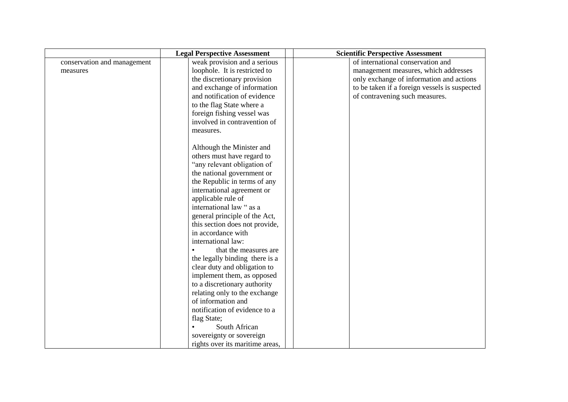|                             | <b>Legal Perspective Assessment</b> | <b>Scientific Perspective Assessment</b>      |
|-----------------------------|-------------------------------------|-----------------------------------------------|
| conservation and management | weak provision and a serious        | of international conservation and             |
| measures                    | loophole. It is restricted to       | management measures, which addresses          |
|                             | the discretionary provision         | only exchange of information and actions      |
|                             | and exchange of information         | to be taken if a foreign vessels is suspected |
|                             | and notification of evidence        | of contravening such measures.                |
|                             | to the flag State where a           |                                               |
|                             | foreign fishing vessel was          |                                               |
|                             | involved in contravention of        |                                               |
|                             | measures.                           |                                               |
|                             |                                     |                                               |
|                             | Although the Minister and           |                                               |
|                             | others must have regard to          |                                               |
|                             | "any relevant obligation of         |                                               |
|                             | the national government or          |                                               |
|                             | the Republic in terms of any        |                                               |
|                             | international agreement or          |                                               |
|                             | applicable rule of                  |                                               |
|                             | international law " as a            |                                               |
|                             | general principle of the Act,       |                                               |
|                             | this section does not provide,      |                                               |
|                             | in accordance with                  |                                               |
|                             | international law:                  |                                               |
|                             | that the measures are               |                                               |
|                             | the legally binding there is a      |                                               |
|                             | clear duty and obligation to        |                                               |
|                             | implement them, as opposed          |                                               |
|                             | to a discretionary authority        |                                               |
|                             | relating only to the exchange       |                                               |
|                             | of information and                  |                                               |
|                             | notification of evidence to a       |                                               |
|                             | flag State;                         |                                               |
|                             | South African                       |                                               |
|                             | sovereignty or sovereign            |                                               |
|                             | rights over its maritime areas,     |                                               |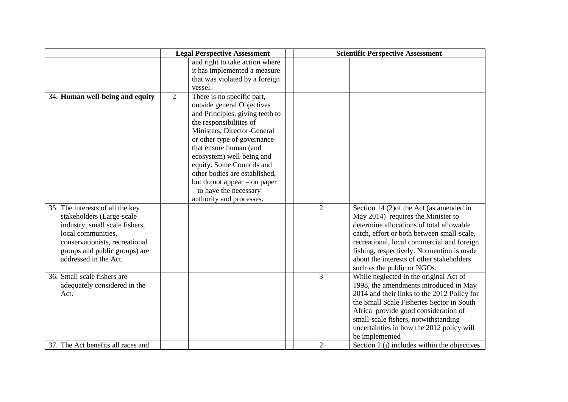|                                                                                                                                                                                                                   | <b>Legal Perspective Assessment</b> |                                                                                                                                                                                                                                                                                                                                                                                                  |  | <b>Scientific Perspective Assessment</b> |                                                                                                                                                                                                                                                                                                                                                 |  |
|-------------------------------------------------------------------------------------------------------------------------------------------------------------------------------------------------------------------|-------------------------------------|--------------------------------------------------------------------------------------------------------------------------------------------------------------------------------------------------------------------------------------------------------------------------------------------------------------------------------------------------------------------------------------------------|--|------------------------------------------|-------------------------------------------------------------------------------------------------------------------------------------------------------------------------------------------------------------------------------------------------------------------------------------------------------------------------------------------------|--|
|                                                                                                                                                                                                                   |                                     | and right to take action where<br>it has implemented a measure<br>that was violated by a foreign<br>vessel.                                                                                                                                                                                                                                                                                      |  |                                          |                                                                                                                                                                                                                                                                                                                                                 |  |
| 34. Human well-being and equity                                                                                                                                                                                   | 2                                   | There is no specific part,<br>outside general Objectives<br>and Principles, giving teeth to<br>the responsibilities of<br>Ministers, Director-General<br>or other type of governance<br>that ensure human (and<br>ecosystem) well-being and<br>equity. Some Councils and<br>other bodies are established,<br>but do not appear – on paper<br>- to have the necessary<br>authority and processes. |  |                                          |                                                                                                                                                                                                                                                                                                                                                 |  |
| 35. The interests of all the key<br>stakeholders (Large-scale<br>industry, small scale fishers,<br>local communities,<br>conservationists, recreational<br>groups and public groups) are<br>addressed in the Act. |                                     |                                                                                                                                                                                                                                                                                                                                                                                                  |  | $\overline{2}$                           | Section 14 (2) of the Act (as amended in<br>May 2014) requires the Minister to<br>determine allocations of total allowable<br>catch, effort or both between small-scale,<br>recreational, local commercial and foreign<br>fishing, respectively. No mention is made<br>about the interests of other stakeholders<br>such as the public or NGOs. |  |
| 36. Small scale fishers are<br>adequately considered in the<br>Act.                                                                                                                                               |                                     |                                                                                                                                                                                                                                                                                                                                                                                                  |  | 3                                        | While neglected in the original Act of<br>1998, the amendments introduced in May<br>2014 and their links to the 2012 Policy for<br>the Small Scale Fisheries Sector in South<br>Africa provide good consideration of<br>small-scale fishers, notwithstanding<br>uncertainties in how the 2012 policy will<br>be implemented                     |  |
| 37. The Act benefits all races and                                                                                                                                                                                |                                     |                                                                                                                                                                                                                                                                                                                                                                                                  |  | $\overline{2}$                           | Section 2 (j) includes within the objectives                                                                                                                                                                                                                                                                                                    |  |